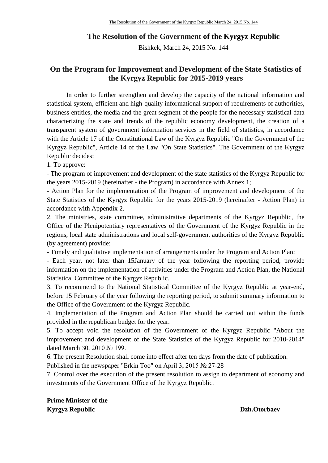# **The Resolution of the Government of the Kyrgyz Republic**

Bishkek, March 24, 2015 No. 144

# **On the Program for Improvement and Development of the State Statistics of the Kyrgyz Republic for 2015-2019 years**

In order to further strengthen and develop the capacity of the national information and statistical system, efficient and high-quality informational support of requirements of authorities, business entities, the media and the great segment of the people for the necessary statistical data characterizing the state and trends of the republic economy development, the creation of a transparent system of government information services in the field of statistics, in accordance with the Article 17 of the Constitutional Law of the Kyrgyz Republic "On the Government of the Kyrgyz Republic", Article 14 of the Law "On State Statistics". The Government of the Kyrgyz Republic decides:

1. To approve:

- The program of improvement and development of the state statistics of the Kyrgyz Republic for the years 2015-2019 (hereinafter - the Program) in accordance with Annex 1;

- Action Plan for the implementation of the Program of improvement and development of the State Statistics of the Kyrgyz Republic for the years 2015-2019 (hereinafter - Action Plan) in accordance with Appendix 2.

2. The ministries, state committee, administrative departments of the Kyrgyz Republic, the Office of the Plenipotentiary representatives of the Government of the Kyrgyz Republic in the regions, local state administrations and local self-government authorities of the Kyrgyz Republic (by agreement) provide:

- Timely and qualitative implementation of arrangements under the Program and Action Plan;

- Each year, not later than 15January of the year following the reporting period, provide information on the implementation of activities under the Program and Action Plan, the National Statistical Committee of the Kyrgyz Republic.

3. To recommend to the National Statistical Committee of the Kyrgyz Republic at year-end, before 15 February of the year following the reporting period, to submit summary information to the Office of the Government of the Kyrgyz Republic.

4. Implementation of the Program and Action Plan should be carried out within the funds provided in the republican budget for the year.

5. To accept void the resolution of the Government of the Kyrgyz Republic "About the improvement and development of the State Statistics of the Kyrgyz Republic for 2010-2014" dated March 30, 2010 № 199.

6. The present Resolution shall come into effect after ten days from the date of publication.

Published in the newspaper "Erkin Too" on April 3, 2015 № 27-28

7. Control over the execution of the present resolution to assign to department of economy and investments of the Government Office of the Kyrgyz Republic.

**Prime Minister of the Kyrgyz Republic Dzh.Otorbaev**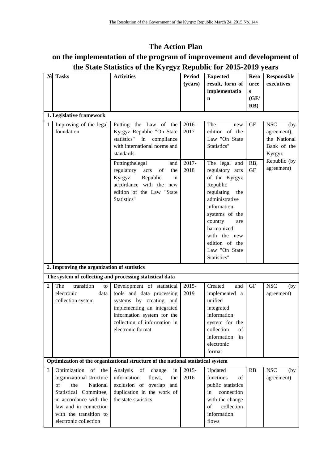# **The Action Plan**

# **on the implementation of the program of improvement and development of the State Statistics of the Kyrgyz Republic for 2015-2019 years**

|                | No Tasks                                                                                                                                                                                                 | <b>Activities</b>                                                                                                                                                                                   | <b>Period</b><br>(years) | <b>Expected</b><br>result, form of<br>implementatio                                                                                                                                                                                     | <b>Reso</b><br>urce<br>${\bf S}$ | <b>Responsible</b><br>executives                                                                         |
|----------------|----------------------------------------------------------------------------------------------------------------------------------------------------------------------------------------------------------|-----------------------------------------------------------------------------------------------------------------------------------------------------------------------------------------------------|--------------------------|-----------------------------------------------------------------------------------------------------------------------------------------------------------------------------------------------------------------------------------------|----------------------------------|----------------------------------------------------------------------------------------------------------|
|                |                                                                                                                                                                                                          |                                                                                                                                                                                                     |                          | $\mathbf n$                                                                                                                                                                                                                             | (GF)<br>RB)                      |                                                                                                          |
|                | 1. Legislative framework                                                                                                                                                                                 |                                                                                                                                                                                                     |                          |                                                                                                                                                                                                                                         |                                  |                                                                                                          |
| $\mathbf{1}$   | Improving of the legal<br>foundation                                                                                                                                                                     | Putting the Law of the<br>Kyrgyz Republic "On State<br>statistics"<br>in<br>compliance<br>with international norms and<br>standards                                                                 | 2016-<br>2017            | The<br>new<br>edition of the<br>Law "On State<br>Statistics"                                                                                                                                                                            | $\operatorname{GF}$              | <b>NSC</b><br>(by)<br>agreement),<br>the National<br>Bank of the<br>Kyrgyz<br>Republic (by<br>agreement) |
|                |                                                                                                                                                                                                          | Puttingthelegal<br>and<br>regulatory<br>of<br>acts<br>the<br>Kyrgyz<br>Republic<br>in<br>accordance with the new<br>edition of the Law "State<br>Statistics"                                        | 2017-<br>2018            | The legal and<br>regulatory acts<br>of the Kyrgyz<br>Republic<br>regulating<br>the<br>administrative<br>information<br>systems of the<br>country<br>are<br>harmonized<br>with the new<br>edition of the<br>Law "On State<br>Statistics" | RB,<br><b>GF</b>                 |                                                                                                          |
|                | 2. Improving the organization of statistics                                                                                                                                                              | The system of collecting and processing statistical data                                                                                                                                            |                          |                                                                                                                                                                                                                                         |                                  |                                                                                                          |
| $\overline{2}$ | The<br>transition<br>to<br>electronic<br>data<br>collection system                                                                                                                                       | Development of statistical<br>tools and data processing<br>systems by creating and<br>implementing an integrated<br>information system for the<br>collection of information in<br>electronic format | $2015 -$<br>2019         | Created<br>and<br>implemented a<br>unified<br>integrated<br>information<br>system for the<br>collection<br>of<br>information<br>in<br>electronic<br>format                                                                              | <b>GF</b>                        | <b>NSC</b><br>(by)<br>agreement)                                                                         |
|                |                                                                                                                                                                                                          | Optimization of the organizational structure of the national statistical system                                                                                                                     |                          |                                                                                                                                                                                                                                         |                                  |                                                                                                          |
| 3              | Optimization of the<br>organizational structure<br>of<br>the<br>National<br>Statistical Committee,<br>in accordance with the<br>law and in connection<br>with the transition to<br>electronic collection | Analysis<br>of<br>change<br>in<br>information<br>flows.<br>the<br>exclusion of overlap and<br>duplication in the work of<br>the state statistics                                                    | 2015-<br>2016            | Updated<br>functions<br>of<br>public statistics<br>connection<br>in<br>with the change<br>collection<br>of<br>information<br>flows                                                                                                      | <b>RB</b>                        | <b>NSC</b><br>(by)<br>agreement)                                                                         |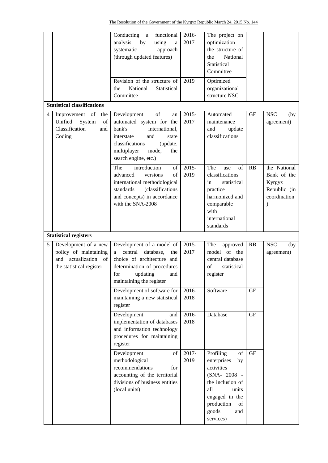|   |                                                                                                                                                                                     | Conducting a<br>functional<br>analysis<br>by<br>using<br>$\mathbf{a}$<br>systematic<br>approach<br>(through updated features)                                                                       | 2016-<br>2017    | The project on<br>optimization<br>the structure of<br>National<br>the<br>Statistical<br>Committee                                                                         |                     |                                                                       |
|---|-------------------------------------------------------------------------------------------------------------------------------------------------------------------------------------|-----------------------------------------------------------------------------------------------------------------------------------------------------------------------------------------------------|------------------|---------------------------------------------------------------------------------------------------------------------------------------------------------------------------|---------------------|-----------------------------------------------------------------------|
|   |                                                                                                                                                                                     | Revision of the structure of<br>National<br>Statistical<br>the<br>Committee                                                                                                                         | 2019             | Optimized<br>organizational<br>structure NSC                                                                                                                              |                     |                                                                       |
|   | <b>Statistical classifications</b>                                                                                                                                                  |                                                                                                                                                                                                     |                  |                                                                                                                                                                           |                     |                                                                       |
| 4 | Improvement of<br>the<br>Unified<br>System<br>$% \left( \left( \mathcal{A},\mathcal{A}\right) \right) =\left( \mathcal{A},\mathcal{A}\right)$ of<br>Classification<br>and<br>Coding | of<br>Development<br>an<br>automated system for the<br>bank's<br>international,<br>and<br>interstate<br>state<br>classifications<br>(update,<br>multiplayer<br>mode,<br>the<br>search engine, etc.) | $2015 -$<br>2017 | Automated<br>maintenance<br>and<br>update<br>classifications                                                                                                              | $\operatorname{GF}$ | <b>NSC</b><br>(by)<br>agreement)                                      |
|   |                                                                                                                                                                                     | The<br>introduction<br>of<br>versions<br>of<br>advanced<br>international methodological<br>(classifications<br>standards<br>and concepts) in accordance<br>with the SNA-2008                        | $2015 -$<br>2019 | of<br>The<br>use<br>classifications<br>statistical<br>in<br>practice<br>harmonized and<br>comparable<br>with<br>international<br>standards                                | RB                  | the National<br>Bank of the<br>Kyrgyz<br>Republic (in<br>coordination |
|   | <b>Statistical registers</b>                                                                                                                                                        |                                                                                                                                                                                                     |                  |                                                                                                                                                                           |                     |                                                                       |
| 5 | Development of a new<br>policy of maintaining<br>and actualization of<br>the statistical register                                                                                   | Development of a model of<br>central<br>database.<br>the<br>a<br>choice of architecture and<br>determination of procedures<br>for<br>updating<br>and<br>maintaining the register                    | $2015 -$<br>2017 | The<br>approved<br>model of the<br>central database<br>of<br>statistical<br>register                                                                                      | RB                  | <b>NSC</b><br>(by)<br>agreement)                                      |
|   |                                                                                                                                                                                     | Development of software for<br>maintaining a new statistical<br>register                                                                                                                            | 2016-<br>2018    | Software                                                                                                                                                                  | GF                  |                                                                       |
|   |                                                                                                                                                                                     | Development<br>and<br>implementation of databases<br>and information technology<br>procedures for maintaining<br>register                                                                           | 2016-<br>2018    | Database                                                                                                                                                                  | GF                  |                                                                       |
|   |                                                                                                                                                                                     | Development<br>of<br>methodological<br>recommendations<br>for<br>accounting of the territorial<br>divisions of business entities<br>(local units)                                                   | 2017-<br>2019    | Profiling<br>of<br>enterprises<br>by<br>activities<br>(SNA- 2008 -<br>the inclusion of<br>all<br>units<br>engaged in the<br>production<br>of<br>goods<br>and<br>services) | GF                  |                                                                       |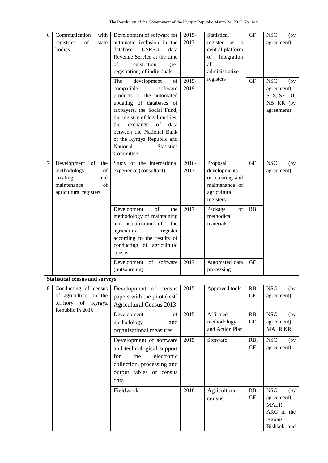| 6       | Communication<br>with<br>registries<br>of<br>state<br>bodies                                                    | Development of software for<br>automatic inclusion in the<br><b>USRSU</b><br>database<br>data<br>Revenue Service at the time<br>registration<br>of<br>$(re-$<br>registration) of individuals                                                                                                                            | $2015 -$<br>2017 | Statistical<br>register as<br>a<br>central platform<br>integration<br>of<br>all<br>administrative | $\operatorname{GF}$        | <b>NSC</b><br>(by)<br>agreement)                                                    |
|---------|-----------------------------------------------------------------------------------------------------------------|-------------------------------------------------------------------------------------------------------------------------------------------------------------------------------------------------------------------------------------------------------------------------------------------------------------------------|------------------|---------------------------------------------------------------------------------------------------|----------------------------|-------------------------------------------------------------------------------------|
|         |                                                                                                                 | The<br>development<br>of<br>compatible<br>software<br>products to the automated<br>updating of databases of<br>taxpayers, the Social Fund,<br>the registry of legal entities,<br>exchange<br>of<br>the<br>data<br>between the National Bank<br>of the Kyrgyz Republic and<br>National<br><b>Statistics</b><br>Committee | $2015 -$<br>2019 | registers                                                                                         | $\operatorname{GF}$        | <b>NSC</b><br>(by)<br>agreement),<br>STS, SF, DJ,<br>NB KR (by<br>agreement)        |
| 7       | Development<br>of<br>the<br>methodology<br>of<br>creating<br>and<br>maintenance<br>of<br>agricultural registers | Study of the international<br>experience (consultant)                                                                                                                                                                                                                                                                   | 2016-<br>2017    | Proposal<br>developments<br>on creating and<br>maintenance of<br>agricultural<br>registers        | $\operatorname{GF}$        | <b>NSC</b><br>(by)<br>agreement)                                                    |
|         |                                                                                                                 | Development<br>of<br>the<br>methodology of maintaining<br>and actualization of<br>the<br>agricultural<br>register<br>according to the results of<br>conducting of agricultural<br>census                                                                                                                                | 2017             | Package<br>of<br>methodical<br>materials                                                          | RB                         |                                                                                     |
|         |                                                                                                                 | of<br>software<br>Development<br>(outsourcing)                                                                                                                                                                                                                                                                          | 2017             | Automated data<br>processing                                                                      | $\operatorname{GF}$        |                                                                                     |
|         | <b>Statistical census and surveys</b>                                                                           |                                                                                                                                                                                                                                                                                                                         |                  |                                                                                                   |                            |                                                                                     |
| $\,8\,$ | Conducting of census<br>of agriculture on the<br>territory of Kyrgyz<br>Republic in 2016                        | Development of census<br>papers with the pilot (test)<br><b>Agricultural Census 2013</b>                                                                                                                                                                                                                                | 2015             | Approved tools                                                                                    | RB,<br>$\operatorname{GF}$ | $_{\rm NSC}$<br>(by)<br>agreement)                                                  |
|         |                                                                                                                 | Development<br>of<br>methodology<br>and<br>organizational measures                                                                                                                                                                                                                                                      | 2015             | Affirmed<br>methodology<br>and Action Plan                                                        | RB,<br>$\operatorname{GF}$ | <b>NSC</b><br>(by)<br>agreement),<br><b>MALR KR</b>                                 |
|         |                                                                                                                 | Development of software<br>and technological support<br>the<br>electronic<br>for<br>collection, processing and<br>output tables of census<br>data                                                                                                                                                                       | 2015             | Software                                                                                          | RB,<br>GF                  | <b>NSC</b><br>(by)<br>agreement)                                                    |
|         |                                                                                                                 | Fieldwork                                                                                                                                                                                                                                                                                                               | 2016             | Agricultural<br>census                                                                            | RB,<br>$\operatorname{GF}$ | <b>NSC</b><br>(by)<br>agreement),<br>MALR,<br>ARG in the<br>regions,<br>Bishkek and |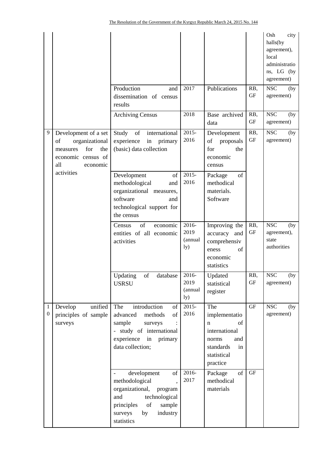|                       |                                                                                                                 |                                                                                                                                                                    |                                 |                                                                                                                          |                     | Osh<br>city<br>halls(by<br>agreement),<br>local<br>administratio<br>ns, LG (by<br>agreement) |
|-----------------------|-----------------------------------------------------------------------------------------------------------------|--------------------------------------------------------------------------------------------------------------------------------------------------------------------|---------------------------------|--------------------------------------------------------------------------------------------------------------------------|---------------------|----------------------------------------------------------------------------------------------|
|                       |                                                                                                                 | Production<br>and<br>dissemination of census<br>results                                                                                                            | 2017                            | Publications                                                                                                             | RB,<br>GF           | <b>NSC</b><br>(by)<br>agreement)                                                             |
|                       |                                                                                                                 | <b>Archiving Census</b>                                                                                                                                            | 2018                            | Base archived<br>data                                                                                                    | RB,<br>GF           | <b>NSC</b><br>(by)<br>agreement)                                                             |
| 9                     | Development of a set<br>organizational<br>of<br>for<br>the<br>measures<br>economic census of<br>all<br>economic | Study<br>of<br>international<br>experience<br>in<br>primary<br>(basic) data collection                                                                             | $2015 -$<br>2016                | Development<br>of<br>proposals<br>for<br>the<br>economic<br>census                                                       | RB,<br><b>GF</b>    | <b>NSC</b><br>(by)<br>agreement)                                                             |
|                       | activities                                                                                                      | Development<br>of<br>methodological<br>and<br>organizational measures,<br>software<br>and<br>technological support for<br>the census                               | $2015 -$<br>2016                | of<br>Package<br>methodical<br>materials.<br>Software                                                                    |                     |                                                                                              |
|                       |                                                                                                                 | of<br>economic<br>Census<br>entities of all economic<br>activities                                                                                                 | 2016-<br>2019<br>(annual<br>1y) | Improving the<br>accuracy and<br>comprehensiv<br>of<br>eness<br>economic<br>statistics                                   | RB,<br><b>GF</b>    | <b>NSC</b><br>(by)<br>agreement),<br>state<br>authorities                                    |
|                       |                                                                                                                 | Updating of database 2016-<br><b>USRSU</b>                                                                                                                         | 2019<br>(annual<br>ly)          | Updated<br>statistical<br>register                                                                                       | RB,<br>GF           | <b>NSC</b><br>(by)<br>agreement)                                                             |
| 1<br>$\boldsymbol{0}$ | unified<br>Develop<br>principles of sample<br>surveys                                                           | introduction<br>The<br>of<br>advanced<br>of<br>methods<br>sample<br>surveys<br>- study of international<br>experience in primary<br>data collection;               | 2015-<br>2016                   | The<br>implementatio<br>of<br>$\mathbf n$<br>international<br>and<br>norms<br>standards<br>in<br>statistical<br>practice | GF                  | <b>NSC</b><br>(by)<br>agreement)                                                             |
|                       |                                                                                                                 | development<br>of<br>methodological<br>organizational,<br>program<br>and<br>technological<br>sample<br>principles<br>of<br>industry<br>by<br>surveys<br>statistics | 2016-<br>2017                   | Package<br>of<br>methodical<br>materials                                                                                 | $\operatorname{GF}$ |                                                                                              |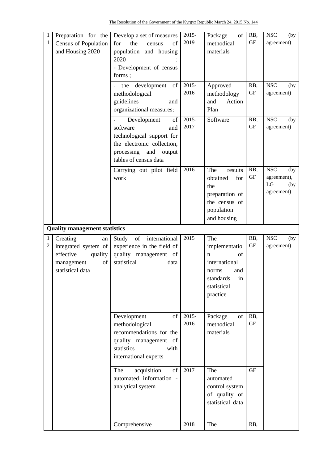| 1<br>$\mathbf{1}$ | Preparation for the<br>Census of Population<br>and Housing 2020                                        | Develop a set of measures<br>the<br>of<br>for<br>census<br>population and housing<br>2020<br>- Development of census<br>forms;                    | $2015 -$<br>2019 | Package<br>of<br>methodical<br>materials                                                                       | RB,<br><b>GF</b> | <b>NSC</b><br>(by)<br>agreement)                              |
|-------------------|--------------------------------------------------------------------------------------------------------|---------------------------------------------------------------------------------------------------------------------------------------------------|------------------|----------------------------------------------------------------------------------------------------------------|------------------|---------------------------------------------------------------|
|                   |                                                                                                        | of<br>development<br>the<br>methodological<br>guidelines<br>and<br>organizational measures;                                                       | $2015 -$<br>2016 | Approved<br>methodology<br>and<br>Action<br>Plan                                                               | RB,<br><b>GF</b> | <b>NSC</b><br>(by)<br>agreement)                              |
|                   |                                                                                                        | Development<br>of<br>software<br>and<br>technological support for<br>the electronic collection,<br>processing and output<br>tables of census data | $2015 -$<br>2017 | Software                                                                                                       | RB,<br><b>GF</b> | <b>NSC</b><br>(by)<br>agreement)                              |
|                   |                                                                                                        | Carrying out pilot field<br>work                                                                                                                  | 2016             | The<br>results<br>for<br>obtained<br>the<br>preparation of<br>the census of<br>population<br>and housing       | RB,<br><b>GF</b> | <b>NSC</b><br>(by)<br>agreement),<br>LG<br>(by)<br>agreement) |
|                   | <b>Quality management statistics</b>                                                                   |                                                                                                                                                   |                  |                                                                                                                |                  |                                                               |
| 1<br>2            | Creating<br>an<br>integrated system of<br>effective<br>quality<br>of<br>management<br>statistical data | international<br>Study<br>of<br>experience in the field of<br>quality management of<br>statistical<br>data                                        | 2015             | The<br>implementatio<br>of<br>n<br>international<br>and<br>norms<br>standards<br>1n<br>statistical<br>practice | RB,<br><b>GF</b> | <b>NSC</b><br>(by)<br>agreement)                              |
|                   |                                                                                                        | Development<br>of<br>methodological<br>recommendations for the<br>quality management of<br>statistics<br>with<br>international experts            | $2015 -$<br>2016 | Package<br>of<br>methodical<br>materials                                                                       | RB,<br>GF        |                                                               |
|                   |                                                                                                        | acquisition<br>of<br>The<br>automated information -<br>analytical system                                                                          | 2017             | The<br>automated<br>control system<br>of quality of<br>statistical data                                        | <b>GF</b>        |                                                               |
|                   |                                                                                                        | Comprehensive                                                                                                                                     | 2018             | The                                                                                                            | RB,              |                                                               |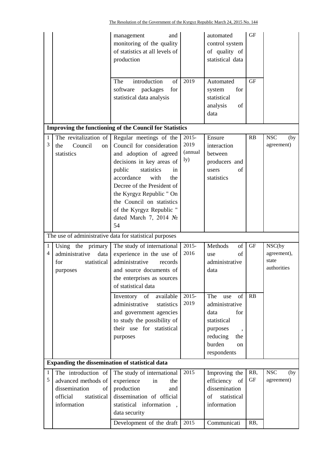|                                |                                                                                                             | and<br>management<br>monitoring of the quality<br>of statistics at all levels of<br>production                                                                                                                                                                                                                               |                                    | automated<br>control system<br>of quality of<br>statistical data                                                                    | GF                         |                                               |
|--------------------------------|-------------------------------------------------------------------------------------------------------------|------------------------------------------------------------------------------------------------------------------------------------------------------------------------------------------------------------------------------------------------------------------------------------------------------------------------------|------------------------------------|-------------------------------------------------------------------------------------------------------------------------------------|----------------------------|-----------------------------------------------|
|                                |                                                                                                             | introduction<br>of<br>The<br>packages<br>for<br>software<br>statistical data analysis                                                                                                                                                                                                                                        | 2019                               | Automated<br>for<br>system<br>statistical<br>analysis<br>of<br>data                                                                 | <b>GF</b>                  |                                               |
|                                |                                                                                                             | <b>Improving the functioning of the Council for Statistics</b>                                                                                                                                                                                                                                                               |                                    |                                                                                                                                     |                            |                                               |
| $\mathbf{1}$<br>3              | The revitalization of<br>Council<br>the<br>on<br>statistics                                                 | Regular meetings of the<br>Council for consideration<br>and adoption of agreed<br>decisions in key areas of<br>statistics<br>public<br>in<br>accordance<br>with<br>the<br>Decree of the President of<br>the Kyrgyz Republic " On<br>the Council on statistics<br>of the Kyrgyz Republic "<br>dated March 7, 2014 $N_2$<br>54 | $2015 -$<br>2019<br>(annual<br>1y) | Ensure<br>interaction<br>between<br>producers and<br>of<br>users<br>statistics                                                      | RB                         | <b>NSC</b><br>(by)<br>agreement)              |
|                                |                                                                                                             | The use of administrative data for statistical purposes                                                                                                                                                                                                                                                                      |                                    |                                                                                                                                     |                            |                                               |
| $\mathbf{1}$<br>$\overline{4}$ | Using the primary<br>administrative<br>data<br>statistical<br>for<br>purposes                               | The study of international<br>experience in the use of<br>administrative<br>records<br>and source documents of<br>the enterprises as sources<br>of statistical data                                                                                                                                                          | $\overline{2015}$<br>2016          | of<br>Methods<br>of<br>use<br>administrative<br>data                                                                                | <b>GF</b>                  | NSC(by<br>agreement),<br>state<br>authorities |
|                                |                                                                                                             | Inventory of<br>available<br>administrative<br>statistics<br>and government agencies<br>to study the possibility of<br>their use for statistical<br>purposes                                                                                                                                                                 | $2015 -$<br>2019                   | of<br>The<br>use<br>administrative<br>data<br>for<br>statistical<br>purposes<br>,<br>reducing<br>the<br>burden<br>on<br>respondents | RB                         |                                               |
|                                | Expanding the dissemination of statistical data                                                             |                                                                                                                                                                                                                                                                                                                              |                                    |                                                                                                                                     |                            |                                               |
| 1<br>5                         | The introduction of<br>advanced methods of<br>dissemination<br>of<br>official<br>statistical<br>information | The study of international<br>experience<br>in<br>the<br>production<br>and<br>dissemination of official<br>statistical information,<br>data security                                                                                                                                                                         | 2015                               | Improving the<br>efficiency of<br>dissemination<br>of<br>statistical<br>information                                                 | RB,<br>$\operatorname{GF}$ | <b>NSC</b><br>(by)<br>agreement)              |
|                                |                                                                                                             | Development of the draft                                                                                                                                                                                                                                                                                                     | 2015                               | Communicati                                                                                                                         | RB,                        |                                               |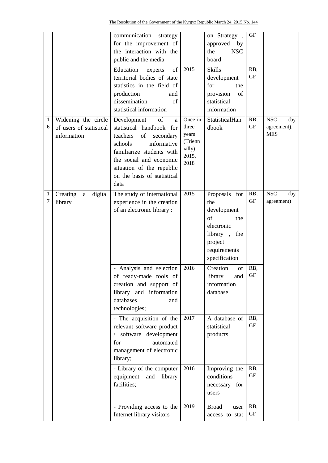|        |                                                               | communication<br>strategy<br>for the improvement of<br>the interaction with the<br>public and the media<br>Education<br>of<br>experts<br>territorial bodies of state<br>statistics in the field of<br>production<br>and<br>dissemination<br>of<br>statistical information | 2015                                                             | on Strategy,<br>approved<br>by<br>the<br><b>NSC</b><br>board<br><b>Skills</b><br>development<br>for<br>the<br>provision<br>of<br>statistical<br>information | GF<br>RB,<br><b>GF</b> |                                                 |
|--------|---------------------------------------------------------------|---------------------------------------------------------------------------------------------------------------------------------------------------------------------------------------------------------------------------------------------------------------------------|------------------------------------------------------------------|-------------------------------------------------------------------------------------------------------------------------------------------------------------|------------------------|-------------------------------------------------|
| 1<br>6 | Widening the circle<br>of users of statistical<br>information | Development<br>of<br>a<br>statistical handbook for<br>of<br>teachers<br>secondary<br>schools<br>informative<br>familiarize students with<br>the social and economic<br>situation of the republic<br>on the basis of statistical<br>data                                   | Once in<br>three<br>years<br>(Trienn<br>ially),<br>2015,<br>2018 | StatisticalHan<br>dbook                                                                                                                                     | RB,<br>GF              | <b>NSC</b><br>(by)<br>agreement),<br><b>MES</b> |
| 1<br>7 | Creating<br>digital<br>$\mathbf{a}$<br>library                | The study of international<br>experience in the creation<br>of an electronic library:                                                                                                                                                                                     | 2015                                                             | Proposals for<br>the<br>development<br>of<br>the<br>electronic<br>library, the<br>project<br>requirements<br>specification                                  | RB,<br><b>GF</b>       | <b>NSC</b><br>(by)<br>agreement)                |
|        |                                                               | - Analysis and selection<br>of ready-made tools of<br>creation and support of<br>library and information<br>databases<br>and<br>technologies;                                                                                                                             | 2016                                                             | Creation<br>of<br>library and<br>information<br>database                                                                                                    | RB,<br><b>GF</b>       |                                                 |
|        |                                                               | - The acquisition of the<br>relevant software product<br>/ software development<br>automated<br>for<br>management of electronic<br>library;                                                                                                                               | 2017                                                             | A database of<br>statistical<br>products                                                                                                                    | RB,<br><b>GF</b>       |                                                 |
|        |                                                               | - Library of the computer<br>equipment<br>library<br>and<br>facilities;                                                                                                                                                                                                   | 2016                                                             | Improving the<br>conditions<br>necessary for<br>users                                                                                                       | RB,<br>GF              |                                                 |
|        |                                                               | - Providing access to the<br>Internet library visitors                                                                                                                                                                                                                    | 2019                                                             | <b>Broad</b><br>user<br>access to stat                                                                                                                      | RB,<br>GF              |                                                 |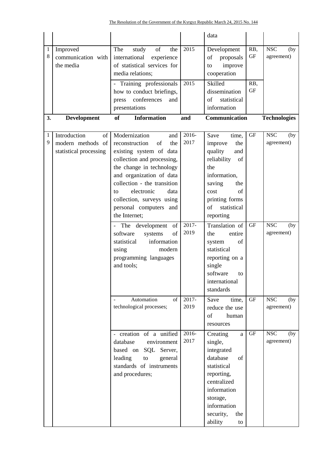|                   |                                                                   |                                                                                                                                                                                                                                                                                                         |               | data                                                                                                                                                                                |                                                |                                  |
|-------------------|-------------------------------------------------------------------|---------------------------------------------------------------------------------------------------------------------------------------------------------------------------------------------------------------------------------------------------------------------------------------------------------|---------------|-------------------------------------------------------------------------------------------------------------------------------------------------------------------------------------|------------------------------------------------|----------------------------------|
| $\mathbf{1}$<br>8 | Improved<br>communication with<br>the media                       | of<br>The<br>study<br>the<br>international<br>experience<br>of statistical services for<br>media relations;<br>- Training professionals<br>how to conduct briefings,<br>press conferences<br>and<br>presentations                                                                                       | 2015<br>2015  | Development<br>of<br>proposals<br>improve<br>to<br>cooperation<br>Skilled<br>dissemination<br>of<br>statistical<br>information                                                      | RB,<br>$\operatorname{GF}$<br>RB,<br><b>GF</b> | <b>NSC</b><br>(by)<br>agreement) |
| 3.                | <b>Development</b>                                                | <b>of</b><br><b>Information</b>                                                                                                                                                                                                                                                                         | and           | Communication                                                                                                                                                                       |                                                | <b>Technologies</b>              |
| 1<br>9            | Introduction<br>of<br>modern methods of<br>statistical processing | Modernization<br>and<br>reconstruction<br>of<br>the<br>existing system of data<br>collection and processing,<br>the change in technology<br>and organization of data<br>collection - the transition<br>electronic<br>data<br>to<br>collection, surveys using<br>personal computers and<br>the Internet; | 2016-<br>2017 | Save<br>time,<br>the<br>improve<br>quality<br>and<br>reliability<br>of<br>the<br>information,<br>saving<br>the<br>of<br>cost<br>printing forms<br>of<br>statistical<br>reporting    | $\operatorname{GF}$                            | <b>NSC</b><br>(by)<br>agreement) |
|                   |                                                                   | of<br>The development<br>of<br>software<br>systems<br>information<br>statistical<br>modern<br>using<br>programming languages<br>and tools;                                                                                                                                                              | 2017-<br>2019 | Translation of<br>entire<br>the<br>system<br>of<br>statistical<br>reporting on a<br>single<br>software<br>to<br>international<br>standards                                          | <b>GF</b>                                      | <b>NSC</b><br>(by)<br>agreement) |
|                   |                                                                   | Automation<br>of<br>technological processes;                                                                                                                                                                                                                                                            | 2017-<br>2019 | Save<br>time,<br>reduce the use<br><sub>of</sub><br>human<br>resources                                                                                                              | <b>GF</b>                                      | <b>NSC</b><br>(by)<br>agreement) |
|                   |                                                                   | - creation of a unified<br>database<br>environment<br>based on SQL Server,<br>leading<br>$\mathop{\mathrm{to}}$<br>general<br>standards of instruments<br>and procedures;                                                                                                                               | 2016-<br>2017 | Creating<br>a<br>single,<br>integrated<br>database<br>of<br>statistical<br>reporting,<br>centralized<br>information<br>storage,<br>information<br>security,<br>the<br>ability<br>to | $\operatorname{GF}$                            | <b>NSC</b><br>(by)<br>agreement) |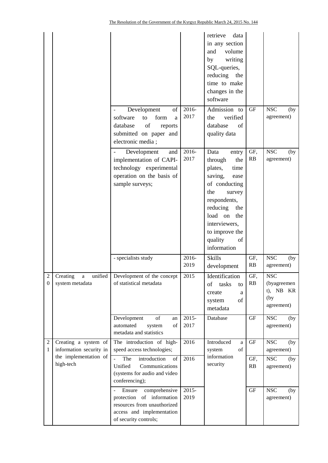|                                    |                                                 |                                                                                                                                              |                  | retrieve<br>data<br>in any section<br>volume<br>and<br>writing<br>by<br>SQL-queries,<br>reducing<br>the<br>time to make<br>changes in the<br>software                                                                        |                     |                                                              |
|------------------------------------|-------------------------------------------------|----------------------------------------------------------------------------------------------------------------------------------------------|------------------|------------------------------------------------------------------------------------------------------------------------------------------------------------------------------------------------------------------------------|---------------------|--------------------------------------------------------------|
|                                    |                                                 | Development<br>of<br>software<br>form<br>to<br>$\mathbf{a}$<br>of<br>database<br>reports<br>submitted on paper and<br>electronic media;      | 2016-<br>2017    | Admission to<br>verified<br>the<br>database<br>of<br>quality data                                                                                                                                                            | $\operatorname{GF}$ | <b>NSC</b><br>(by)<br>agreement)                             |
|                                    |                                                 | Development<br>and<br>implementation of CAPI-<br>technology experimental<br>operation on the basis of<br>sample surveys;                     | 2016-<br>2017    | Data<br>entry<br>through<br>the<br>plates,<br>time<br>saving,<br>ease<br>of conducting<br>survey<br>the<br>respondents,<br>reducing<br>the<br>load on the<br>interviewers,<br>to improve the<br>quality<br>of<br>information | GF,<br>RB           | <b>NSC</b><br>(by)<br>agreement)                             |
|                                    |                                                 | - specialists study                                                                                                                          | 2016-<br>2019    | <b>Skills</b><br>development                                                                                                                                                                                                 | GF,<br>RB           | <b>NSC</b><br>(by)<br>agreement)                             |
| $\overline{c}$<br>$\boldsymbol{0}$ | Creating<br>unified<br>a<br>system metadata     | Development of the concept<br>of statistical metadata                                                                                        | 2015             | Identification<br>tasks<br>of<br>to<br>create<br>a<br>of<br>system<br>metadata                                                                                                                                               | GF,<br>RB           | <b>NSC</b><br>(byagreemen<br>t), NB KR<br>(by)<br>agreement) |
|                                    |                                                 | of<br>Development<br>an<br>automated<br>of<br>system<br>metadata and statistics                                                              | $2015 -$<br>2017 | Database                                                                                                                                                                                                                     | $\operatorname{GF}$ | $_{\rm NSC}$<br>(by)<br>agreement)                           |
| $\overline{2}$<br>$\mathbf{1}$     | Creating a system of<br>information security in | The introduction of high-<br>speed access technologies;                                                                                      | 2016             | Introduced<br>a<br>of<br>system                                                                                                                                                                                              | $\operatorname{GF}$ | <b>NSC</b><br>(by)<br>agreement)                             |
|                                    | the implementation of<br>high-tech              | The<br>introduction<br>of<br>Unified<br>Communications<br>(systems for audio and video<br>conferencing);                                     | 2016             | information<br>security                                                                                                                                                                                                      | GF,<br>RB           | <b>NSC</b><br>(by)<br>agreement)                             |
|                                    |                                                 | Ensure<br>comprehensive<br>of information<br>protection<br>resources from unauthorized<br>access and implementation<br>of security controls; | $2015 -$<br>2019 |                                                                                                                                                                                                                              | <b>GF</b>           | <b>NSC</b><br>(by)<br>agreement)                             |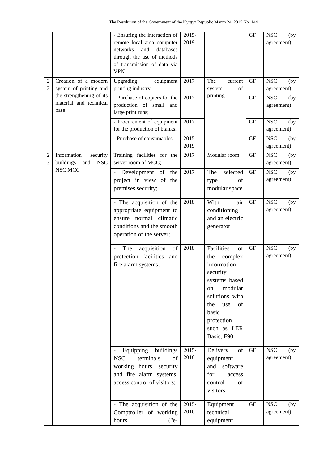|                                  |                                                            | - Ensuring the interaction of<br>remote local area computer<br>networks<br>and<br>databases<br>through the use of methods<br>of transmission of data via<br><b>VPN</b> | 2015-<br>2019    |                                                                                                                                                                                           | GF                  | <b>NSC</b><br>(by)<br>agreement) |
|----------------------------------|------------------------------------------------------------|------------------------------------------------------------------------------------------------------------------------------------------------------------------------|------------------|-------------------------------------------------------------------------------------------------------------------------------------------------------------------------------------------|---------------------|----------------------------------|
| $\mathfrak{2}$<br>$\overline{2}$ | Creation of a modern<br>system of printing and             | Upgrading<br>equipment<br>printing industry;                                                                                                                           | 2017             | The<br>current<br>of<br>system                                                                                                                                                            | $\operatorname{GF}$ | <b>NSC</b><br>(by)<br>agreement) |
|                                  | the strengthening of its<br>material and technical<br>base | - Purchase of copiers for the<br>production of small and<br>large print runs;                                                                                          | 2017             | printing                                                                                                                                                                                  | GF                  | <b>NSC</b><br>(by)<br>agreement) |
|                                  |                                                            | - Procurement of equipment<br>for the production of blanks;                                                                                                            | 2017             |                                                                                                                                                                                           | <b>GF</b>           | <b>NSC</b><br>(by)<br>agreement) |
|                                  |                                                            | - Purchase of consumables                                                                                                                                              | $2015 -$<br>2019 |                                                                                                                                                                                           | <b>GF</b>           | <b>NSC</b><br>(by)<br>agreement) |
| $\overline{2}$<br>3              | Information<br>security<br><b>NSC</b><br>buildings<br>and  | Training facilities for the<br>server room of MCC;                                                                                                                     | 2017             | Modular room                                                                                                                                                                              | $\operatorname{GF}$ | <b>NSC</b><br>(by)<br>agreement) |
|                                  | NSC MCC                                                    | Development of the<br>project in view of the<br>premises security;                                                                                                     | 2017             | The<br>selected<br>of<br>type<br>modular space                                                                                                                                            | <b>GF</b>           | <b>NSC</b><br>(by)<br>agreement) |
|                                  |                                                            | - The acquisition of the<br>appropriate equipment to<br>ensure normal climatic<br>conditions and the smooth<br>operation of the server;                                | 2018             | With<br>air<br>conditioning<br>and an electric<br>generator                                                                                                                               | GF                  | <b>NSC</b><br>(by)<br>agreement) |
|                                  |                                                            | acquisition<br>The<br>of<br>protection facilities<br>and<br>fire alarm systems;                                                                                        | 2018             | Facilities<br>of<br>the<br>complex<br>information<br>security<br>systems based<br>modular<br>on<br>solutions with<br>of<br>the<br>use<br>basic<br>protection<br>such as LER<br>Basic, F90 | <b>GF</b>           | <b>NSC</b><br>(by)<br>agreement) |
|                                  |                                                            | Equipping<br>buildings<br><b>NSC</b><br>terminals<br>of<br>working hours, security<br>and fire alarm systems,<br>access control of visitors;                           | $2015 -$<br>2016 | of<br>Delivery<br>equipment<br>and<br>software<br>for<br>access<br>of<br>control<br>visitors                                                                                              | GF                  | <b>NSC</b><br>(by)<br>agreement) |
|                                  |                                                            | - The acquisition of the<br>Comptroller of working<br>hours<br>("e-                                                                                                    | $2015 -$<br>2016 | Equipment<br>technical<br>equipment                                                                                                                                                       | $\operatorname{GF}$ | <b>NSC</b><br>(by)<br>agreement) |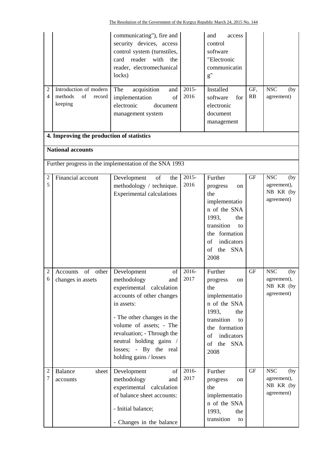|                     |                                                              | communicating"), fire and<br>security devices, access<br>control system (turnstiles,<br>card reader with<br>the<br>reader, electromechanical<br>locks)                                                                                                                                 |                  | and<br>access<br>control<br>software<br>"Electronic<br>communicatin<br>$\mathbf{g}$ "                                                                                         |                     |                                                              |
|---------------------|--------------------------------------------------------------|----------------------------------------------------------------------------------------------------------------------------------------------------------------------------------------------------------------------------------------------------------------------------------------|------------------|-------------------------------------------------------------------------------------------------------------------------------------------------------------------------------|---------------------|--------------------------------------------------------------|
| $\overline{c}$<br>4 | Introduction of modern<br>methods<br>of<br>record<br>keeping | The<br>acquisition<br>and<br>implementation<br>of<br>electronic<br>document<br>management system                                                                                                                                                                                       | $2015 -$<br>2016 | Installed<br>software<br>for<br>electronic<br>document<br>management                                                                                                          | GF,<br>RB           | <b>NSC</b><br>(by)<br>agreement)                             |
|                     | 4. Improving the production of statistics                    |                                                                                                                                                                                                                                                                                        |                  |                                                                                                                                                                               |                     |                                                              |
|                     | <b>National accounts</b>                                     |                                                                                                                                                                                                                                                                                        |                  |                                                                                                                                                                               |                     |                                                              |
|                     |                                                              | Further progress in the implementation of the SNA 1993                                                                                                                                                                                                                                 |                  |                                                                                                                                                                               |                     |                                                              |
| $\overline{2}$<br>5 | Financial account                                            | Development<br>of<br>the<br>methodology / technique.<br><b>Experimental calculations</b>                                                                                                                                                                                               | $2015 -$<br>2016 | Further<br>progress<br>on<br>the<br>implementatio<br>n of the SNA<br>1993,<br>the<br>transition<br>to<br>the formation<br>indicators<br>of<br>of the SNA<br>2008              | $\operatorname{GF}$ | <b>NSC</b><br>(by)<br>agreement),<br>NB KR (by<br>agreement) |
| 2<br>6              | of<br>other<br>Accounts<br>changes in assets                 | of<br>Development<br>methodology<br>and<br>experimental<br>calculation<br>accounts of other changes<br>in assets:<br>- The other changes in the<br>volume of assets; - The<br>revaluation; - Through the<br>neutral holding gains /<br>losses; - By the real<br>holding gains / losses | 2016-<br>2017    | Further<br>progress<br>on<br>the<br>implementatio<br>n of the SNA<br>1993,<br>the<br>transition<br>to<br>the formation<br>of<br>indicators<br>the<br><b>SNA</b><br>of<br>2008 | $\operatorname{GF}$ | <b>NSC</b><br>(by)<br>agreement),<br>NB KR (by<br>agreement) |
| 2<br>7              | <b>Balance</b><br>sheet<br>accounts                          | of<br>Development<br>methodology<br>and<br>experimental<br>calculation<br>of balance sheet accounts:<br>- Initial balance;<br>- Changes in the balance                                                                                                                                 | 2016-<br>2017    | Further<br>progress<br>on<br>the<br>implementatio<br>n of the SNA<br>1993,<br>the<br>transition<br>to                                                                         | $\operatorname{GF}$ | <b>NSC</b><br>(by)<br>agreement),<br>NB KR (by<br>agreement) |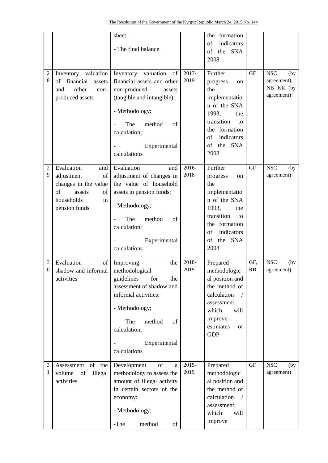|                     |                                                                                                                          | sheet;<br>- The final balance                                                                                                                                                                               |                             | the formation<br>indicators<br>of<br>the<br><b>SNA</b><br>of<br>2008                                                                                                       |                     |                                                              |
|---------------------|--------------------------------------------------------------------------------------------------------------------------|-------------------------------------------------------------------------------------------------------------------------------------------------------------------------------------------------------------|-----------------------------|----------------------------------------------------------------------------------------------------------------------------------------------------------------------------|---------------------|--------------------------------------------------------------|
| $\overline{2}$<br>8 | Inventory valuation<br>financial<br>of<br>assets<br>other<br>and<br>non-<br>produced assets                              | Inventory valuation<br>of<br>financial assets and other<br>non-produced<br>assets<br>(tangible and intangible):<br>- Methodology;<br>The<br>of<br>method<br>calculation;<br>Experimental<br>calculations    | $\overline{2017}$ -<br>2019 | Further<br>progress<br>on<br>the<br>implementatio<br>n of the SNA<br>1993,<br>the<br>transition<br>to<br>the formation<br>indicators<br>of<br>the SNA<br>of<br>2008        | GF                  | <b>NSC</b><br>(by)<br>agreement),<br>NB KR (by<br>agreement) |
| $\overline{2}$<br>9 | Evaluation<br>and<br>adjustment<br>of<br>changes in the value<br>of<br>of<br>assets<br>households<br>in<br>pension funds | Evaluation<br>and<br>adjustment of changes in<br>the value of household<br>assets in pension funds:<br>- Methodology;<br>The<br>method<br>of<br>calculation;<br>Experimental<br>calculations                | 2016-<br>2018               | Further<br>progress<br>on<br>the<br>implementatio<br>n of the SNA<br>1993,<br>the<br>transition<br>to<br>the formation<br>indicators<br>of<br>of the<br><b>SNA</b><br>2008 | <b>GF</b>           | <b>NSC</b><br>(by)<br>agreement)                             |
| 3<br>$\overline{0}$ | Evaluation<br>of<br>shadow and informal<br>activities                                                                    | Improving<br>the<br>methodological<br>for<br>the<br>guidelines<br>assessment of shadow and<br>informal activities:<br>- Methodology;<br>The<br>of<br>method<br>calculation;<br>Experimental<br>calculations | 2018-<br>2019               | Prepared<br>methodologic<br>al position and<br>the method of<br>calculation<br>$\sqrt{2}$<br>assessment,<br>which<br>will<br>improve<br>estimates<br>of<br><b>GDP</b>      | GF,<br>RB           | <b>NSC</b><br>(by)<br>agreement)                             |
| 3<br>1              | Assessment<br>of the<br>volume<br>illegal<br>of<br>activities                                                            | Development<br>of<br>a<br>methodology to assess the<br>amount of illegal activity<br>in certain sectors of the<br>economy:<br>- Methodology;<br>-The<br>method<br>of                                        | $2015 -$<br>2019            | Prepared<br>methodologic<br>al position and<br>the method of<br>calculation<br>$\sqrt{ }$<br>assessment,<br>which<br>will<br>improve                                       | $\operatorname{GF}$ | <b>NSC</b><br>(by)<br>agreement)                             |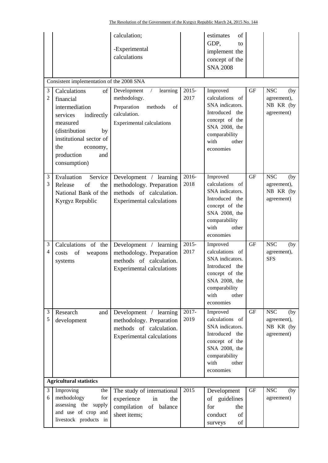|                     | Consistent implementation of the 2008 SNA                                                                                                                      | calculation;<br>-Experimental<br>calculations                                                                     |                  | estimates<br>of<br>GDP,<br>to<br>implement the<br>concept of the<br><b>SNA 2008</b>                                                                |                     |                                                              |
|---------------------|----------------------------------------------------------------------------------------------------------------------------------------------------------------|-------------------------------------------------------------------------------------------------------------------|------------------|----------------------------------------------------------------------------------------------------------------------------------------------------|---------------------|--------------------------------------------------------------|
| 3<br>$\overline{2}$ | Calculations<br>of<br>financial                                                                                                                                | Development<br>learning<br>$\sqrt{2}$<br>methodology.                                                             | 2015-<br>2017    | Improved<br>calculations of                                                                                                                        | GF                  | <b>NSC</b><br>(by)<br>agreement),                            |
|                     | intermediation<br>indirectly<br>services<br>measured<br>(distribution<br>by<br>institutional sector of<br>the<br>economy,<br>production<br>and<br>consumption) | Preparation<br>methods<br>of<br>calculation.<br><b>Experimental calculations</b>                                  |                  | SNA indicators.<br>Introduced<br>the<br>concept of the<br>SNA 2008, the<br>comparability<br>with<br>other<br>economies                             |                     | NB KR (by<br>agreement)                                      |
| 3<br>3              | Evaluation<br>Service<br>of<br>Release<br>the<br>National Bank of the<br>Kyrgyz Republic                                                                       | Development / learning<br>methodology. Preparation<br>methods of calculation.<br><b>Experimental calculations</b> | 2016-<br>2018    | Improved<br>calculations of<br>SNA indicators.<br>Introduced the<br>concept of the<br>SNA 2008, the<br>comparability<br>with<br>other<br>economies | <b>GF</b>           | <b>NSC</b><br>(by)<br>agreement),<br>NB KR (by<br>agreement) |
| 3<br>$\overline{4}$ | Calculations of the<br>of<br>weapons<br>costs<br>systems                                                                                                       | Development / learning<br>methodology. Preparation<br>methods of calculation.<br><b>Experimental calculations</b> | $2015 -$<br>2017 | Improved<br>calculations of<br>SNA indicators.<br>Introduced the<br>concept of the<br>SNA 2008, the<br>comparability<br>with<br>other<br>economies | $\operatorname{GF}$ | <b>NSC</b><br>(by)<br>agreement),<br><b>SFS</b>              |
| 3<br>5              | Research<br>and<br>development                                                                                                                                 | Development / learning<br>methodology. Preparation<br>methods of calculation.<br><b>Experimental calculations</b> | 2017-<br>2019    | Improved<br>calculations of<br>SNA indicators.<br>Introduced the<br>concept of the<br>SNA 2008, the<br>comparability<br>with<br>other<br>economies | GF                  | <b>NSC</b><br>(by)<br>agreement),<br>NB KR (by<br>agreement) |
|                     | <b>Agricultural statistics</b>                                                                                                                                 |                                                                                                                   |                  |                                                                                                                                                    |                     |                                                              |
| 3<br>6              | Improving<br>the<br>methodology<br>for<br>assessing the supply<br>and use of crop and<br>livestock products in                                                 | The study of international<br>experience<br>in<br>the<br>compilation of balance<br>sheet items;                   | 2015             | Development<br>of guidelines<br>for<br>the<br>conduct<br>of<br>of<br>surveys                                                                       | $\operatorname{GF}$ | <b>NSC</b><br>(by)<br>agreement)                             |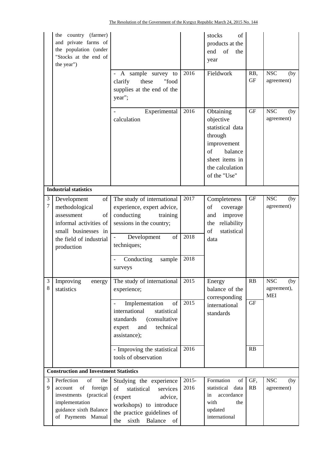|             | the country (farmer)<br>and private farms of<br>the population (under<br>"Stocks at the end of<br>the year")                                               |                                                                                                                                                                          |                  | of<br>stocks<br>products at the<br>of<br>end<br>the<br>year                                                                                           |                     |                                                   |  |  |
|-------------|------------------------------------------------------------------------------------------------------------------------------------------------------------|--------------------------------------------------------------------------------------------------------------------------------------------------------------------------|------------------|-------------------------------------------------------------------------------------------------------------------------------------------------------|---------------------|---------------------------------------------------|--|--|
|             |                                                                                                                                                            | A sample survey to<br>these<br>"food<br>clarify<br>supplies at the end of the<br>year";                                                                                  | 2016             | Fieldwork                                                                                                                                             | RB,<br><b>GF</b>    | <b>NSC</b><br>(by)<br>agreement)                  |  |  |
|             |                                                                                                                                                            | Experimental<br>calculation                                                                                                                                              | 2016             | Obtaining<br>objective<br>statistical data<br>through<br>improvement<br><sub>of</sub><br>balance<br>sheet items in<br>the calculation<br>of the "Use" | <b>GF</b>           | <b>NSC</b><br>(by)<br>agreement)                  |  |  |
|             | <b>Industrial statistics</b>                                                                                                                               |                                                                                                                                                                          |                  |                                                                                                                                                       |                     |                                                   |  |  |
| 3<br>$\tau$ | Development<br>of<br>methodological<br>of<br>assessment<br>informal activities of<br>small businesses in                                                   | The study of international<br>experience, expert advice,<br>conducting<br>training<br>sessions in the country;                                                           | 2017             | Completeness<br>of<br>coverage<br>improve<br>and<br>the reliability<br><sub>of</sub><br>statistical                                                   | GF                  | <b>NSC</b><br>(by)<br>agreement)                  |  |  |
|             | the field of industrial<br>production                                                                                                                      | of<br>Development<br>techniques;                                                                                                                                         | 2018             | data                                                                                                                                                  |                     |                                                   |  |  |
|             |                                                                                                                                                            | Conducting<br>sample<br>surveys                                                                                                                                          | 2018             |                                                                                                                                                       |                     |                                                   |  |  |
| 3<br>8      | Improving<br>energy<br>statistics                                                                                                                          | The study of international<br>experience;                                                                                                                                | 2015             | Energy<br>balance of the<br>corresponding                                                                                                             | RB                  | $_{\rm NSC}$<br>(by)<br>agreement),<br><b>MEI</b> |  |  |
|             |                                                                                                                                                            | Implementation<br>of<br>international<br>statistical<br><i>(consultative</i><br>standards<br>technical<br>and<br>expert<br>assistance);                                  | 2015             | international<br>standards                                                                                                                            | $\operatorname{GF}$ |                                                   |  |  |
|             |                                                                                                                                                            | - Improving the statistical<br>tools of observation                                                                                                                      | 2016             |                                                                                                                                                       | RB                  |                                                   |  |  |
|             | <b>Construction and Investment Statistics</b>                                                                                                              |                                                                                                                                                                          |                  |                                                                                                                                                       |                     |                                                   |  |  |
| 3<br>9      | Perfection<br>of<br>the<br>$\sigma f$<br>foreign<br>account<br>(practical<br>investments<br>implementation<br>guidance sixth Balance<br>of Payments Manual | Studying the experience<br>of<br>statistical<br>services<br>(expert<br>advice,<br>workshops) to introduce<br>the practice guidelines of<br>the<br>sixth<br>Balance<br>of | $2015 -$<br>2016 | Formation<br>of<br>statistical<br>data<br>accordance<br>in<br>with<br>the<br>updated<br>international                                                 | GF,<br>RB           | <b>NSC</b><br>(by)<br>agreement)                  |  |  |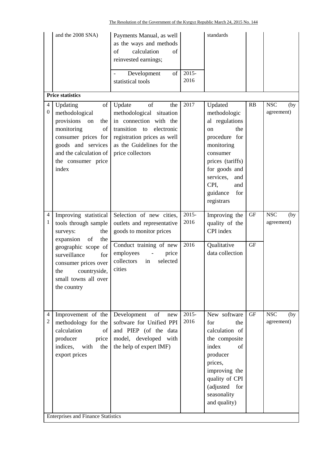|                       | and the 2008 SNA)                                                                                                                                                                                                              | Payments Manual, as well<br>as the ways and methods<br>calculation<br>of<br>of<br>reinvested earnings;<br>Development<br>of<br>statistical tools                                            | $2015 -$<br>2016         | standards                                                                                                                                                                                                             |                                  |                                  |
|-----------------------|--------------------------------------------------------------------------------------------------------------------------------------------------------------------------------------------------------------------------------|---------------------------------------------------------------------------------------------------------------------------------------------------------------------------------------------|--------------------------|-----------------------------------------------------------------------------------------------------------------------------------------------------------------------------------------------------------------------|----------------------------------|----------------------------------|
|                       | <b>Price statistics</b>                                                                                                                                                                                                        |                                                                                                                                                                                             |                          |                                                                                                                                                                                                                       |                                  |                                  |
| 4<br>$\boldsymbol{0}$ | of  <br>Updating<br>methodological<br>provisions<br>the<br>on<br>monitoring<br>of<br>consumer prices for<br>goods and services<br>and the calculation of<br>the consumer price<br>index                                        | Update<br>of<br>the<br>methodological<br>situation<br>in connection with the<br>transition to<br>electronic<br>registration prices as well<br>as the Guidelines for the<br>price collectors | 2017                     | Updated<br>methodologic<br>al regulations<br>the<br><sub>on</sub><br>procedure for<br>monitoring<br>consumer<br>prices (tariffs)<br>for goods and<br>services,<br>and<br>CPI,<br>and<br>guidance<br>for<br>registrars | RB                               | <b>NSC</b><br>(by)<br>agreement) |
| $\overline{4}$<br>1   | Improving statistical<br>tools through sample<br>the<br>surveys:<br>expansion<br>of<br>the<br>geographic scope of<br>surveillance<br>for<br>consumer prices over<br>countryside,<br>the<br>small towns all over<br>the country | Selection of new cities,<br>outlets and representative<br>goods to monitor prices<br>Conduct training of new<br>employees<br>price<br>collectors<br>selected<br>in<br>cities                | $2015 -$<br>2016<br>2016 | Improving the<br>quality of the<br>CPI index<br>Qualitative<br>data collection                                                                                                                                        | $\operatorname{GF}$<br><b>GF</b> | <b>NSC</b><br>(by)<br>agreement) |
| 4<br>$\boldsymbol{2}$ | Improvement of the Development<br>methodology for the<br>calculation<br>of<br>producer<br>price<br>indices,<br>with<br>the<br>export prices<br><b>Enterprises and Finance Statistics</b>                                       | of<br>new<br>software for Unified PPI<br>and PIEP (of the data<br>model, developed with<br>the help of expert IMF)                                                                          | $2015 -$<br>2016         | New software<br>the<br>for<br>calculation of<br>the composite<br>index<br>of<br>producer<br>prices,<br>improving the<br>quality of CPI<br>(adjusted for<br>seasonality<br>and quality)                                | GF                               | <b>NSC</b><br>(by)<br>agreement) |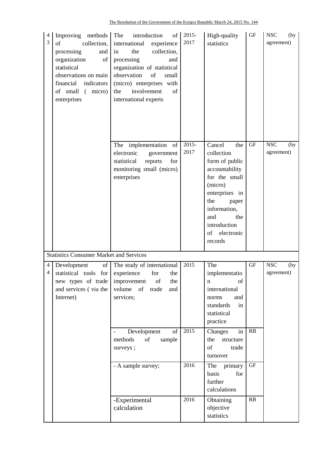| 4<br>3                           | Improving methods<br>of<br>collection,<br>processing<br>and<br>organization<br>of<br>statistical<br>observations on main<br>financial<br>indicators<br>of small (micro)<br>enterprises | The<br>introduction<br>of<br>international<br>experience<br>collection,<br>the<br>in<br>processing<br>and<br>organization of statistical<br>observation<br>of<br>small<br>(micro) enterprises with<br>involvement<br>of<br>the<br>international experts | $2015 -$<br>2017 | High-quality<br>statistics                                                                                                                                                                                 | $\operatorname{GF}$                    | <b>NSC</b><br>(by)<br>agreement) |
|----------------------------------|----------------------------------------------------------------------------------------------------------------------------------------------------------------------------------------|---------------------------------------------------------------------------------------------------------------------------------------------------------------------------------------------------------------------------------------------------------|------------------|------------------------------------------------------------------------------------------------------------------------------------------------------------------------------------------------------------|----------------------------------------|----------------------------------|
|                                  |                                                                                                                                                                                        | The implementation of<br>electronic<br>government<br>for<br>statistical<br>reports<br>monitoring small (micro)<br>enterprises                                                                                                                           | 2015-<br>2017    | Cancel<br>the<br>collection<br>form of public<br>accountability<br>for the small<br>(micro)<br>enterprises in<br>the<br>paper<br>information,<br>and<br>the<br>introduction<br>electronic<br>of<br>records | GF                                     | <b>NSC</b><br>(by)<br>agreement) |
|                                  | <b>Statistics Consumer Market and Services</b>                                                                                                                                         |                                                                                                                                                                                                                                                         |                  |                                                                                                                                                                                                            |                                        |                                  |
| $\overline{4}$<br>$\overline{4}$ | Development<br>of<br>statistical tools for<br>new types of trade<br>and services (via the<br>Internet)                                                                                 | The study of international<br>experience<br>for<br>the<br>improvement<br>the<br>of<br>volume<br>of trade<br>and<br>services;<br>of<br>Development                                                                                                       | 2015<br>2015     | The<br>implementatio<br>of<br>n<br>international<br>and<br>norms<br>standards<br>in<br>statistical<br>practice<br>Changes<br>in                                                                            | $\operatorname{GF}$<br>$\overline{RB}$ | <b>NSC</b><br>(by)<br>agreement) |
|                                  |                                                                                                                                                                                        | of<br>methods<br>sample<br>surveys;                                                                                                                                                                                                                     |                  | the<br>structure<br>of<br>trade<br>turnover                                                                                                                                                                |                                        |                                  |
|                                  |                                                                                                                                                                                        | - A sample survey;                                                                                                                                                                                                                                      | 2016             | The<br>primary<br>basis<br>for<br>further<br>calculations                                                                                                                                                  | $\operatorname{GF}$                    |                                  |
|                                  |                                                                                                                                                                                        | -Experimental<br>calculation                                                                                                                                                                                                                            | 2016             | Obtaining<br>objective<br>statistics                                                                                                                                                                       | RB                                     |                                  |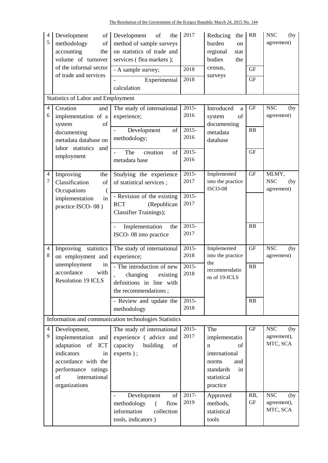| $\overline{4}$<br>5 | Development<br>of<br>methodology<br>of<br>accounting<br>the<br>volume of turnover<br>of the informal sector<br>of trade and services                                 | Development<br>of<br>the<br>method of sample surveys<br>on statistics of trade and<br>services (flea markets);<br>- A sample survey;<br>Experimental<br>calculation | 2017<br>2018<br>2018 | Reducing<br>the<br>burden<br>on<br>regional<br>stat<br>bodies<br>the<br>census,<br>surveys                     | RB<br><b>GF</b><br>GF | $_{\rm NSC}$<br>(by)<br>agreement)              |  |  |  |
|---------------------|----------------------------------------------------------------------------------------------------------------------------------------------------------------------|---------------------------------------------------------------------------------------------------------------------------------------------------------------------|----------------------|----------------------------------------------------------------------------------------------------------------|-----------------------|-------------------------------------------------|--|--|--|
|                     | <b>Statistics of Labor and Employment</b>                                                                                                                            |                                                                                                                                                                     |                      |                                                                                                                |                       |                                                 |  |  |  |
| $\overline{4}$<br>6 | Creation<br>and<br>implementation of a<br>of<br>system                                                                                                               | The study of international<br>experience;                                                                                                                           | $2015 -$<br>2016     | Introduced<br>a<br>of<br>system<br>documenting                                                                 | GF                    | <b>NSC</b><br>(by)<br>agreement)                |  |  |  |
|                     | documenting<br>metadata database on                                                                                                                                  | Development<br>of<br>methodology;                                                                                                                                   | $2015 -$<br>2016     | metadata<br>database                                                                                           | RB                    |                                                 |  |  |  |
|                     | labor statistics and<br>employment                                                                                                                                   | creation<br>of<br>The<br>metadata base                                                                                                                              | $2015 -$<br>2016     |                                                                                                                | <b>GF</b>             |                                                 |  |  |  |
| $\overline{4}$<br>7 | Improving<br>the<br>Classification<br>of<br>Occupations<br>(                                                                                                         | Studying the experience<br>of statistical services;                                                                                                                 | 2015-<br>2017        | Implemented<br>into the practice<br>ISCO-08                                                                    | $\operatorname{GF}$   | MLMY,<br><b>NSC</b><br>(by)<br>agreement)       |  |  |  |
|                     | implementation<br>in<br>practice ISCO-08)                                                                                                                            | - Revision of the existing<br><b>RCT</b><br>(Republican<br><b>Classifier Trainings</b> );                                                                           | $2015 -$<br>2017     |                                                                                                                |                       |                                                 |  |  |  |
|                     |                                                                                                                                                                      | Implementation<br>the<br>ISCO-08 into practice                                                                                                                      | $2015 -$<br>2017     |                                                                                                                | RB                    |                                                 |  |  |  |
| $\overline{4}$<br>8 | Improving<br>statistics<br>on employment and                                                                                                                         | The study of international<br>experience;                                                                                                                           | $2015 -$<br>2018     | Implemented<br>into the practice<br>the                                                                        | $\operatorname{GF}$   | <b>NSC</b><br>(by)<br>agreement)                |  |  |  |
|                     | unemployment<br>in<br>accordance<br>with<br>Resolution 19 ICLS                                                                                                       | - The introduction of new<br>changing existing<br>definitions in line with<br>the recommendations;                                                                  | $2015 -$<br>2018     | recommendatio<br>ns of 19-ICLS                                                                                 | RB                    |                                                 |  |  |  |
|                     |                                                                                                                                                                      | - Review and update the<br>methodology                                                                                                                              | $2015 -$<br>2018     |                                                                                                                | RB                    |                                                 |  |  |  |
|                     |                                                                                                                                                                      | Information and communication technologies Statistics                                                                                                               |                      |                                                                                                                |                       |                                                 |  |  |  |
| $\overline{4}$<br>9 | Development,<br>implementation and<br>adaptation of<br>ICT<br>indicators<br>in<br>accordance with the<br>performance ratings<br>international<br>of<br>organizations | The study of international<br>experience (advice and<br>capacity<br>building<br>of<br>experts);                                                                     | $2015 -$<br>2017     | The<br>implementatio<br>of<br>n<br>international<br>and<br>norms<br>standards<br>in<br>statistical<br>practice | GF                    | $_{\rm NSC}$<br>(by)<br>agreement),<br>MTC, SCA |  |  |  |
|                     |                                                                                                                                                                      | Development<br>of<br>methodology<br>flow<br>$\left($<br>information<br>collection<br>tools, indicators)                                                             | 2017-<br>2019        | Approved<br>methods,<br>statistical<br>tools                                                                   | RB,<br>GF             | <b>NSC</b><br>(by)<br>agreement),<br>MTC, SCA   |  |  |  |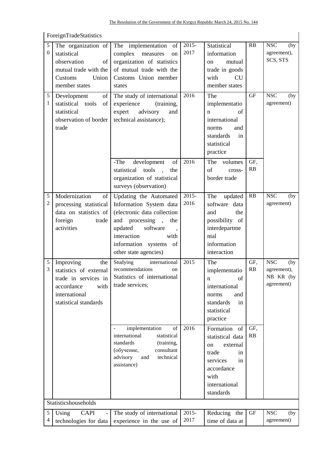|                       | ForeignTradeStatistics                                                                                                             |                                                                                                                                                                                                             |                  |                                                                                                                                         |                     |                                                              |
|-----------------------|------------------------------------------------------------------------------------------------------------------------------------|-------------------------------------------------------------------------------------------------------------------------------------------------------------------------------------------------------------|------------------|-----------------------------------------------------------------------------------------------------------------------------------------|---------------------|--------------------------------------------------------------|
| 5<br>$\boldsymbol{0}$ | The organization of<br>statistical<br>of<br>observation<br>mutual trade with the<br>Union<br>Customs<br>member states              | The implementation<br>of<br>complex measures<br>on<br>organization of statistics<br>of mutual trade with the<br>Customs Union member<br>states                                                              | $2015 -$<br>2017 | Statistical<br>information<br>mutual<br>on<br>trade in goods<br>with<br><b>CU</b><br>member states                                      | RB                  | <b>NSC</b><br>(by)<br>agreement),<br>SCS, STS                |
| 5<br>1                | Development<br>of  <br>statistical<br>tools<br>of<br>statistical<br>observation of border<br>trade                                 | The study of international<br>experience<br>(training,<br>expert advisory<br>and<br>technical assistance);                                                                                                  | 2016             | The<br>implementatio<br>of<br>$\mathbf n$<br>international<br>and<br>norms<br>standards<br>in<br>statistical<br>practice                | <b>GF</b>           | <b>NSC</b><br>(by)<br>agreement)                             |
|                       |                                                                                                                                    | -The<br>development<br>of<br>statistical<br>tools<br>the<br>$\ddot{\phantom{a}}$<br>organization of statistical<br>surveys (observation)                                                                    | 2016             | The volumes<br>of<br>cross-<br>border trade                                                                                             | GF,<br>RB           |                                                              |
| 5<br>2                | Modernization<br>of<br>processing statistical<br>data on statistics of<br>foreign<br>trade<br>activities                           | Updating the Automated<br>Information System data<br>(electronic data collection<br>and processing,<br>the<br>updated<br>software<br>interaction<br>with<br>information systems of<br>other state agencies) | $2015 -$<br>2016 | The<br>updated<br>software data<br>and<br>the<br>possibility of<br>interdepartme<br>ntal<br>information<br>interaction                  | RB                  | <b>NSC</b><br>(by)<br>agreement)                             |
| 5<br>3                | Improving<br>the<br>statistics of external<br>trade in services in<br>accordance<br>with<br>international<br>statistical standards | Studying<br>international<br>recommendations<br>on<br>Statistics of international<br>trade services;                                                                                                        | 2015             | The<br>implementatio<br>οf<br>n<br>international<br>and<br>norms<br>standards<br>in<br>statistical<br>practice                          | GF,<br>RB           | <b>NSC</b><br>(by)<br>agreement),<br>NB KR (by<br>agreement) |
|                       |                                                                                                                                    | implementation<br>of<br>international<br>statistical<br>standards<br>(training,<br>consultant<br>(обучение,<br>advisory<br>technical<br>and<br>assistance)                                                  | 2016             | Formation of<br>statistical data<br>external<br>on<br>trade<br>1n<br>services<br>in<br>accordance<br>with<br>international<br>standards | GF,<br>RB           |                                                              |
|                       | Statisticshouseholds                                                                                                               |                                                                                                                                                                                                             |                  |                                                                                                                                         |                     |                                                              |
| 5<br>4                | <b>CAPI</b><br>Using<br>$\overline{\phantom{a}}$<br>technologies for data                                                          | The study of international<br>experience in the use of                                                                                                                                                      | 2015-<br>2017    | Reducing the<br>time of data at                                                                                                         | $\operatorname{GF}$ | $_{\rm NSC}$<br>(by)<br>agreement)                           |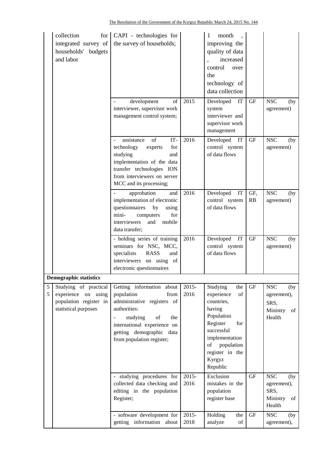|        | collection<br>for <sub>l</sub><br>integrated survey of<br>households'<br>budgets<br>and labor  | CAPI - technologies for<br>the survey of households;<br>development<br>of<br>interviewer, supervisor work<br>management control system;                                                                                                                                                                                                      | 2015                         | 1<br>month<br>improving the<br>quality of data<br>increased<br>control<br>over<br>the<br>technology of<br>data collection<br>Developed<br>IT<br>system<br>interviewer and                              | $\operatorname{GF}$              | <b>NSC</b><br>(by)<br>agreement)                                                            |
|--------|------------------------------------------------------------------------------------------------|----------------------------------------------------------------------------------------------------------------------------------------------------------------------------------------------------------------------------------------------------------------------------------------------------------------------------------------------|------------------------------|--------------------------------------------------------------------------------------------------------------------------------------------------------------------------------------------------------|----------------------------------|---------------------------------------------------------------------------------------------|
|        |                                                                                                | of<br>assistance<br>IT-<br>technology<br>for<br>experts<br>studying<br>and<br>implementation of the data<br>transfer technologies ION<br>from interviewers on server<br>MCC and its processing;                                                                                                                                              | 2016                         | supervisor work<br>management<br>Developed<br>IT<br>control system<br>of data flows                                                                                                                    | GF                               | <b>NSC</b><br>(by)<br>agreement)                                                            |
|        |                                                                                                | approbation<br>and<br>implementation of electronic<br>questionnaires<br>by<br>using<br>for<br>mini-<br>computers<br>interviewers<br>mobile<br>and<br>data transfer;                                                                                                                                                                          | 2016                         | Developed<br>IT<br>control system<br>of data flows                                                                                                                                                     | GF,<br>$\mathbf{RB}$             | <b>NSC</b><br>(by)<br>agreement)                                                            |
|        |                                                                                                | - holding series of training<br>seminars for NSC, MCC,<br>specialists<br><b>RASS</b><br>and<br>interviewers on using of<br>electronic questionnaires                                                                                                                                                                                         | 2016                         | Developed<br>IT<br>control system<br>of data flows                                                                                                                                                     | <b>GF</b>                        | <b>NSC</b><br>(by)<br>agreement)                                                            |
|        | <b>Demographic statistics</b>                                                                  |                                                                                                                                                                                                                                                                                                                                              |                              |                                                                                                                                                                                                        |                                  |                                                                                             |
| 5<br>5 | Studying of practical<br>experience on using<br>population register in<br>statistical purposes | Getting information about<br>population<br>from<br>administrative registers of<br>authorities:<br>studying<br>$% \left( \left( \mathcal{A},\mathcal{A}\right) \right) =\left( \mathcal{A},\mathcal{A}\right)$ of<br>the<br>international experience on<br>getting demographic data<br>from population register;<br>- studying procedures for | $2015 -$<br>2016<br>$2015 -$ | the<br>Studying<br>of<br>experience<br>countries,<br>having<br>Population<br>Register<br>for<br>successful<br>implementation<br>population<br>of<br>register in the<br>Kyrgyz<br>Republic<br>Exclusion | <b>GF</b><br>$\operatorname{GF}$ | <b>NSC</b><br>(by)<br>agreement),<br>SRS,<br>Ministry<br>of<br>Health<br><b>NSC</b><br>(by) |
|        |                                                                                                | collected data checking and<br>editing in the population<br>Register;                                                                                                                                                                                                                                                                        | 2016                         | mistakes in the<br>population<br>register base                                                                                                                                                         |                                  | agreement),<br>SRS,<br>Ministry<br>of<br>Health                                             |
|        |                                                                                                | - software development for<br>getting information about                                                                                                                                                                                                                                                                                      | $2015 -$<br>2018             | Holding<br>the<br>of<br>analyze                                                                                                                                                                        | $\operatorname{GF}$              | <b>NSC</b><br>(by)<br>agreement),                                                           |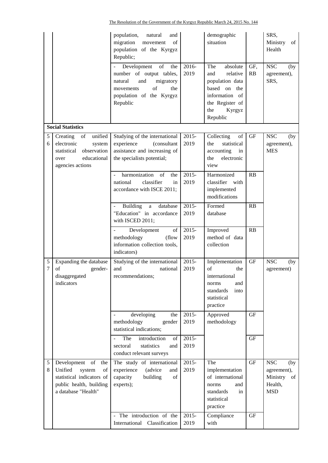|                    |                                                                                                                                    | population,<br>and<br>natural<br>of<br>migration<br>movement<br>population of the Kyrgyz<br>Republic;<br>Development<br>of<br>the | 2016-            | demographic<br>situation<br>The<br>absolute                                                                                                                                             | GF,                 | SRS,<br>Ministry<br>of<br>Health<br><b>NSC</b><br>(by)                         |
|--------------------|------------------------------------------------------------------------------------------------------------------------------------|-----------------------------------------------------------------------------------------------------------------------------------|------------------|-----------------------------------------------------------------------------------------------------------------------------------------------------------------------------------------|---------------------|--------------------------------------------------------------------------------|
|                    |                                                                                                                                    | number of output tables,<br>migratory<br>natural<br>and<br>of<br>the<br>movements<br>population of the Kyrgyz<br>Republic         | 2019             | and<br>relative<br>population data<br>based on<br>the<br>information of<br>the Register of<br>the<br>Kyrgyz<br>Republic                                                                 | RB                  | agreement),<br>SRS,                                                            |
|                    | <b>Social Statistics</b>                                                                                                           |                                                                                                                                   |                  |                                                                                                                                                                                         |                     |                                                                                |
| 5<br>6             | unified<br>Creating<br>of<br>electronic<br>system<br>observation<br>statistical<br>educational<br>over<br>agencies actions         | Studying of the international<br>experience<br>(consultant<br>assistance and increasing of<br>the specialists potential;          | 2015-<br>2019    | Collecting<br>$% \left( \left( \mathcal{A},\mathcal{A}\right) \right) =\left( \mathcal{A},\mathcal{A}\right)$ of<br>statistical<br>the<br>accounting<br>in<br>electronic<br>the<br>view | GF                  | <b>NSC</b><br>(by)<br>agreement),<br><b>MES</b>                                |
|                    |                                                                                                                                    | harmonization<br>of<br>the<br>national<br>classifier<br>in<br>accordance with ISCE 2011;                                          | $2015 -$<br>2019 | Harmonized<br>classifier with<br>implemented<br>modifications                                                                                                                           | RB                  |                                                                                |
|                    |                                                                                                                                    | <b>Building</b><br>database<br>a<br>"Education" in accordance<br>with ISCED 2011;                                                 | $2015 -$<br>2019 | Formed<br>database                                                                                                                                                                      | RB                  |                                                                                |
|                    |                                                                                                                                    | Development<br>of<br>methodology<br>(flow<br>information collection tools,<br>indicators)                                         | $2015 -$<br>2019 | Improved<br>method of data<br>collection                                                                                                                                                | RB                  |                                                                                |
| $\mathfrak s$<br>7 | Expanding the database<br>of<br>gender-<br>disaggregated<br>indicators                                                             | Studying of the international<br>national<br>and<br>recommendations;                                                              | $2015 -$<br>2019 | Implementation<br>of<br>the<br>international<br>and<br>norms<br>standards<br>into<br>statistical<br>practice                                                                            | GF                  | <b>NSC</b><br>(by)<br>agreement)                                               |
|                    |                                                                                                                                    | developing<br>the<br>methodology<br>gender<br>statistical indications;                                                            | $2015 -$<br>2019 | Approved<br>methodology                                                                                                                                                                 | <b>GF</b>           |                                                                                |
|                    |                                                                                                                                    | The<br>introduction<br>of<br>$\overline{a}$<br>statistics<br>sectoral<br>and<br>conduct relevant surveys                          | $2015 -$<br>2019 |                                                                                                                                                                                         | GF                  |                                                                                |
| 5<br>8             | Development<br>of<br>the<br>Unified<br>system<br>of<br>statistical indicators of<br>public health, building<br>a database "Health" | The study of international<br>experience<br>(advice<br>and<br>building<br>capacity<br>of<br>experts);                             | $2015 -$<br>2019 | The<br>implementation<br>of international<br>norms<br>and<br>standards<br>in<br>statistical<br>practice                                                                                 | $\operatorname{GF}$ | $_{\rm NSC}$<br>(by)<br>agreement),<br>Ministry<br>of<br>Health,<br><b>MSD</b> |
|                    |                                                                                                                                    | The introduction of the<br>International<br>Classification                                                                        | $2015 -$<br>2019 | Compliance<br>with                                                                                                                                                                      | GF                  |                                                                                |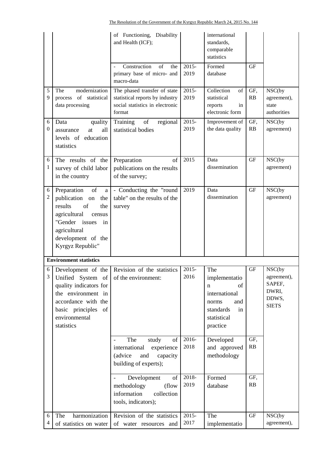|                     |                                                                                                                                                                                    | of Functioning, Disability<br>and Health (ICF);<br>Construction<br>of<br>the                                 | $2015 -$         | international<br>standards,<br>comparable<br>statistics<br>Formed                                              | <b>GF</b>           |                                                                   |
|---------------------|------------------------------------------------------------------------------------------------------------------------------------------------------------------------------------|--------------------------------------------------------------------------------------------------------------|------------------|----------------------------------------------------------------------------------------------------------------|---------------------|-------------------------------------------------------------------|
|                     |                                                                                                                                                                                    | primary base of micro- and<br>macro-data                                                                     | 2019             | database                                                                                                       |                     |                                                                   |
| 5<br>$\mathbf{Q}$   | modernization<br>The<br>process of statistical<br>data processing                                                                                                                  | The phased transfer of state<br>statistical reports by industry<br>social statistics in electronic<br>format | $2015 -$<br>2019 | Collection<br>of<br>statistical<br>reports<br>in<br>electronic form                                            | GF,<br>RB           | NSC(by<br>agreement),<br>state<br>authorities                     |
| 6<br>$\mathbf{0}$   | quality<br>Data<br>all<br>at<br>assurance<br>levels of education<br>statistics                                                                                                     | Training of<br>regional<br>statistical bodies                                                                | $2015 -$<br>2019 | Improvement of<br>the data quality                                                                             | GF,<br>RB           | NSC(by<br>agreement)                                              |
| 6<br>1              | The results of the<br>survey of child labor<br>in the country                                                                                                                      | Preparation<br>of<br>publications on the results<br>of the survey;                                           | 2015             | Data<br>dissemination                                                                                          | GF                  | NSC(by<br>agreement)                                              |
| 6<br>$\overline{c}$ | Preparation of<br>a  <br>publication on<br>the<br>of<br>results<br>the<br>agricultural<br>census<br>"Gender issues<br>in<br>agricultural<br>development of the<br>Kyrgyz Republic" | - Conducting the "round<br>table" on the results of the<br>survey                                            | 2019             | Data<br>dissemination                                                                                          | <b>GF</b>           | NSC(by<br>agreement)                                              |
|                     | <b>Environment statistics</b>                                                                                                                                                      |                                                                                                              |                  |                                                                                                                |                     |                                                                   |
| 6<br>3              | Unified System of<br>quality indicators for<br>the environment in<br>accordance with the<br>basic principles of<br>environmental<br>statistics                                     | Development of the Revision of the statistics<br>of the environment:                                         | $2015 -$<br>2016 | The<br>implementatio<br>of<br>n<br>international<br>norms<br>and<br>standards<br>in<br>statistical<br>practice | $\operatorname{GF}$ | NSC(by<br>agreement),<br>SAPEF,<br>DWRI,<br>DDWS,<br><b>SIETS</b> |
|                     |                                                                                                                                                                                    | The<br>study<br>of<br>international<br>experience<br>and<br>(advice)<br>capacity<br>building of experts);    | 2016-<br>2018    | Developed<br>and approved<br>methodology                                                                       | GF,<br>RB           |                                                                   |
|                     |                                                                                                                                                                                    | Development<br>of<br>methodology<br>(flow<br>information<br>collection<br>tools, indicators);                | 2018-<br>2019    | Formed<br>database                                                                                             | GF,<br>RB           |                                                                   |
| 6<br>4              | harmonization<br>The<br>of statistics on water                                                                                                                                     | Revision of the statistics<br>of water resources<br>and                                                      | $2015 -$<br>2017 | The<br>implementatio                                                                                           | $\operatorname{GF}$ | NSC(by<br>agreement),                                             |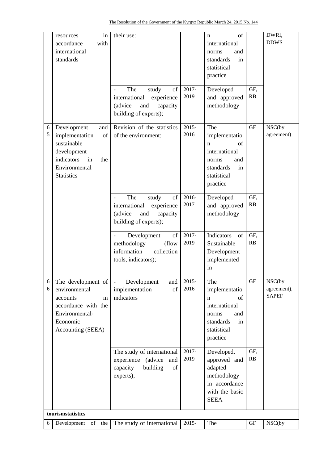|                 | in<br>resources<br>with<br>accordance<br>international<br>standards                                                                       | their use:<br>The<br>study<br>of<br>international<br>experience<br>(advice<br>and<br>capacity<br>building of experts);     | $2017 -$<br>2019 | of<br>n<br>international<br>and<br>norms<br>standards<br>in<br>statistical<br>practice<br>Developed<br>and approved<br>methodology | GF,<br>RB           | DWRI,<br><b>DDWS</b>                  |
|-----------------|-------------------------------------------------------------------------------------------------------------------------------------------|----------------------------------------------------------------------------------------------------------------------------|------------------|------------------------------------------------------------------------------------------------------------------------------------|---------------------|---------------------------------------|
| 6<br>$\sqrt{5}$ | Development<br>and<br>implementation<br>of<br>sustainable<br>development<br>indicators<br>in<br>the<br>Environmental<br><b>Statistics</b> | Revision of the statistics<br>of the environment:                                                                          | $2015 -$<br>2016 | The<br>implementatio<br>of<br>$\mathbf n$<br>international<br>and<br>norms<br>standards<br>in<br>statistical<br>practice           | GF                  | NSC(by<br>agreement)                  |
|                 |                                                                                                                                           | The<br>of<br>study<br>$\overline{a}$<br>international<br>experience<br>(advice<br>and<br>capacity<br>building of experts); | 2016-<br>2017    | Developed<br>and approved<br>methodology                                                                                           | GF,<br>RB           |                                       |
|                 |                                                                                                                                           | Development<br>of<br>methodology<br>(flow<br>information<br>collection<br>tools, indicators);                              | 2017-<br>2019    | Indicators<br>of<br>Sustainable<br>Development<br>implemented<br>in                                                                | GF,<br>RB           |                                       |
| 6<br>6          | The development of<br>environmental<br>in<br>accounts<br>accordance with the<br>Environmental-<br>Economic<br>Accounting (SEEA)           | Development<br>$\Box$<br>and<br>of<br>implementation<br>indicators                                                         | $2015 -$<br>2016 | The<br>implementatio<br>of<br>$\mathbf n$<br>international<br>and<br>norms<br>standards<br>in<br>statistical<br>practice           | $\operatorname{GF}$ | NSC(by<br>agreement),<br><b>SAPEF</b> |
|                 |                                                                                                                                           | The study of international<br>experience (advice<br>and<br>capacity<br>building<br>of<br>experts);                         | 2017-<br>2019    | Developed,<br>approved and<br>adapted<br>methodology<br>in accordance<br>with the basic<br><b>SEEA</b>                             | GF,<br>RB           |                                       |
|                 | tourismstatistics                                                                                                                         |                                                                                                                            |                  |                                                                                                                                    |                     |                                       |
| 6               | Development<br>of the                                                                                                                     | The study of international                                                                                                 | $2015 -$         | The                                                                                                                                | GF                  | NSC(by                                |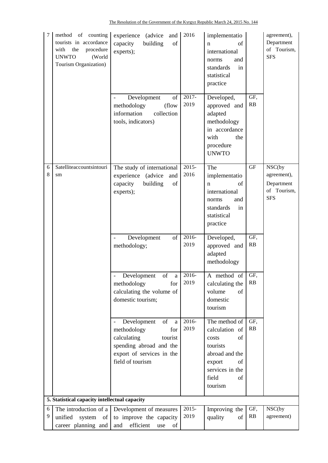| 7      | method of counting<br>tourists in accordance<br>with<br>the<br>procedure<br><b>UNWTO</b><br>(World<br>Tourism Organization) | experience (advice<br>and<br>capacity<br>building<br>of<br>experts);                                                                                          | 2016             | implementatio<br>of<br>n<br>international<br>and<br>norms<br>standards<br>in<br>statistical<br>practice                                   |           | agreement),<br>Department<br>of Tourism,<br><b>SFS</b>           |
|--------|-----------------------------------------------------------------------------------------------------------------------------|---------------------------------------------------------------------------------------------------------------------------------------------------------------|------------------|-------------------------------------------------------------------------------------------------------------------------------------------|-----------|------------------------------------------------------------------|
|        |                                                                                                                             | of<br>Development<br>methodology<br>(flow<br>information<br>collection<br>tools, indicators)                                                                  | 2017-<br>2019    | Developed,<br>approved and<br>adapted<br>methodology<br>in accordance<br>with<br>the<br>procedure<br><b>UNWTO</b>                         | GF,<br>RB |                                                                  |
| 6<br>8 | Satelliteaccountsintouri<br>sm                                                                                              | The study of international<br>experience<br>(advice<br>and<br>building<br>capacity<br>of<br>experts);                                                         | $2015 -$<br>2016 | The<br>implementatio<br>of<br>$\mathbf n$<br>international<br>norms<br>and<br>standards<br>in<br>statistical<br>practice                  | GF        | NSC(by<br>agreement),<br>Department<br>of Tourism,<br><b>SFS</b> |
|        |                                                                                                                             | Development<br>of<br>methodology;                                                                                                                             | 2016-<br>2019    | Developed,<br>approved and<br>adapted<br>methodology                                                                                      | GF,<br>RB |                                                                  |
|        |                                                                                                                             | Development of a<br>methodology<br>for<br>calculating the volume of<br>domestic tourism;                                                                      | $2016 -$<br>2019 | A method of<br>calculating the<br>volume<br>of<br>domestic<br>tourism                                                                     | GF.<br>RB |                                                                  |
|        |                                                                                                                             | Development<br>of<br>$\mathbf{a}$<br>methodology<br>for<br>calculating<br>tourist<br>spending abroad and the<br>export of services in the<br>field of tourism | 2016-<br>2019    | The method of<br>calculation of<br>of<br>costs<br>tourists<br>abroad and the<br>export<br>of<br>services in the<br>field<br>of<br>tourism | GF,<br>RB |                                                                  |
|        | 5. Statistical capacity intellectual capacity                                                                               |                                                                                                                                                               |                  |                                                                                                                                           |           |                                                                  |
| 6<br>9 | unified<br>system<br>$\circ$ f<br>career planning and                                                                       | The introduction of a Development of measures<br>to improve the capacity<br>efficient<br>and<br>use<br>of                                                     | $2015 -$<br>2019 | Improving the<br>quality<br>of                                                                                                            | GF,<br>RB | NSC(by<br>agreement)                                             |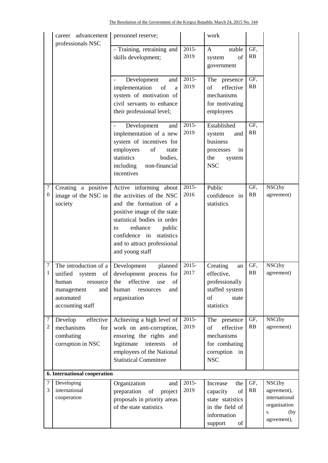|                                    | career advancement                                                                                                                       | personnel reserve;                                                                                                                                                                                                                                   |                  | work                                                                                                     |           |                                                                                    |
|------------------------------------|------------------------------------------------------------------------------------------------------------------------------------------|------------------------------------------------------------------------------------------------------------------------------------------------------------------------------------------------------------------------------------------------------|------------------|----------------------------------------------------------------------------------------------------------|-----------|------------------------------------------------------------------------------------|
|                                    | professionals NSC                                                                                                                        | - Training, retraining and<br>skills development;                                                                                                                                                                                                    | $2015 -$<br>2019 | stable<br>A<br>of<br>system<br>government                                                                | GF,<br>RB |                                                                                    |
|                                    |                                                                                                                                          | Development<br>and<br>implementation<br>of<br>$\mathbf{a}$<br>system of motivation of<br>civil servants to enhance<br>their professional level;                                                                                                      | $2015 -$<br>2019 | The<br>presence<br>effective<br>of<br>mechanisms<br>for motivating<br>employees                          | GF,<br>RB |                                                                                    |
|                                    |                                                                                                                                          | Development<br>and<br>implementation of a new<br>system of incentives for<br>employees<br>of<br>state<br>statistics<br>bodies,<br>non-financial<br>including<br>incentives                                                                           | $2015 -$<br>2019 | Established<br>system<br>and<br>business<br>processes<br>in<br>the<br>system<br><b>NSC</b>               | GF,<br>RB |                                                                                    |
| $\overline{7}$<br>$\boldsymbol{0}$ | Creating a positive<br>image of the NSC in<br>society                                                                                    | Active informing about<br>the activities of the NSC<br>and the formation of a<br>positive image of the state<br>statistical bodies in order<br>enhance<br>public<br>to<br>confidence in statistics<br>and to attract professional<br>and young staff | $2015 -$<br>2016 | Public<br>confidence in<br>statistics                                                                    | GF,<br>RB | NSC(by<br>agreement)                                                               |
| $\tau$<br>1                        | The introduction of a<br>unified<br>of <sub>l</sub><br>system<br>human<br>resource<br>management<br>and<br>automated<br>accounting staff | Development<br>planned<br>development process for<br>effective<br>of<br>the<br>use<br>human<br>and<br>resources<br>organization                                                                                                                      | 2015-<br>2017    | Creating<br>an<br>effective,<br>professionally<br>staffed system<br>of<br>state<br>statistics            | GF,<br>RB | NSC(by)<br>agreement)                                                              |
| $\boldsymbol{7}$<br>$\overline{2}$ | effective<br>Develop<br>mechanisms<br>for<br>combating<br>corruption in NSC                                                              | Achieving a high level of<br>work on anti-corruption,<br>ensuring the rights and<br>legitimate<br>interests<br>of<br>employees of the National<br><b>Statistical Committee</b>                                                                       | $2015 -$<br>2019 | The<br>presence<br>effective<br>of<br>mechanisms<br>for combating<br>corruption in<br><b>NSC</b>         | GF,<br>RB | NSC(by<br>agreement)                                                               |
|                                    | 6. International cooperation                                                                                                             |                                                                                                                                                                                                                                                      |                  |                                                                                                          |           |                                                                                    |
| $\overline{7}$<br>3                | Developing<br>international<br>cooperation                                                                                               | Organization<br>and<br>preparation of<br>project<br>proposals in priority areas<br>of the state statistics                                                                                                                                           | $2015 -$<br>2019 | Increase<br>the<br>of<br>capacity<br>state statistics<br>in the field of<br>information<br>of<br>support | GF,<br>RB | NSC(by<br>agreement),<br>international<br>organisation<br>(by)<br>S<br>agreement), |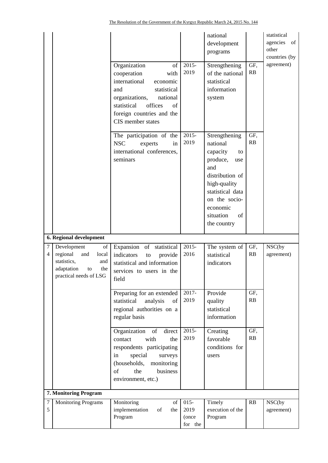|                          |                                                                                                                          |                                                                                                                                                                                                              |                          | national<br>development<br>programs                                                                                                                                                         |           | statistical<br>agencies of<br>other<br>countries (by |
|--------------------------|--------------------------------------------------------------------------------------------------------------------------|--------------------------------------------------------------------------------------------------------------------------------------------------------------------------------------------------------------|--------------------------|---------------------------------------------------------------------------------------------------------------------------------------------------------------------------------------------|-----------|------------------------------------------------------|
|                          |                                                                                                                          | Organization<br>of<br>cooperation<br>with<br>international<br>economic<br>and<br>statistical<br>organizations,<br>national<br>statistical<br>offices<br>of<br>foreign countries and the<br>CIS member states | $2015 -$<br>2019         | Strengthening<br>of the national<br>statistical<br>information<br>system                                                                                                                    | GF,<br>RB | agreement)                                           |
|                          |                                                                                                                          | The participation of the<br><b>NSC</b><br>experts<br>in<br>international conferences,<br>seminars                                                                                                            | $2015 -$<br>2019         | Strengthening<br>national<br>capacity<br>to<br>produce,<br>use<br>and<br>distribution of<br>high-quality<br>statistical data<br>on the socio-<br>economic<br>of<br>situation<br>the country | GF,<br>RB |                                                      |
|                          | 6. Regional development                                                                                                  |                                                                                                                                                                                                              |                          |                                                                                                                                                                                             |           |                                                      |
| $\tau$<br>$\overline{4}$ | Development<br>of<br>regional<br>and<br>local<br>statistics,<br>and<br>adaptation<br>the<br>to<br>practical needs of LSG | Expansion of statistical<br>indicators<br>${\rm to}$<br>provide<br>statistical and information<br>services to users in the<br>field                                                                          | $2015 -$<br>2016         | The system of<br>statistical<br>indicators                                                                                                                                                  | GF,<br>RB | NSC(by<br>agreement)                                 |
|                          |                                                                                                                          | Preparing for an extended<br>statistical<br>analysis<br>of<br>regional authorities on a<br>regular basis                                                                                                     | 2017-<br>2019            | Provide<br>quality<br>statistical<br>information                                                                                                                                            | GF,<br>RB |                                                      |
|                          |                                                                                                                          | Organization<br>direct<br>$\sigma$<br>with<br>the<br>contact<br>respondents participating<br>special<br>surveys<br>in<br>(households, monitoring<br>business<br>of<br>the<br>environment, etc.)              | $2015 -$<br>2019         | Creating<br>favorable<br>conditions for<br>users                                                                                                                                            | GF,<br>RB |                                                      |
|                          | 7. Monitoring Program                                                                                                    |                                                                                                                                                                                                              |                          |                                                                                                                                                                                             |           |                                                      |
| $\overline{7}$<br>5      | <b>Monitoring Programs</b>                                                                                               | Monitoring<br>of<br>implementation<br>of<br>the<br>Program                                                                                                                                                   | $015 -$<br>2019<br>(once | Timely<br>execution of the<br>Program                                                                                                                                                       | RB        | NSC(by<br>agreement)                                 |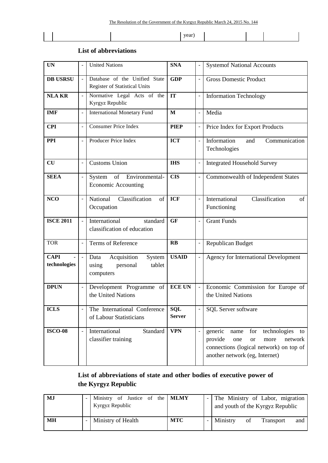|  | year) |  |  |
|--|-------|--|--|

## **List of abbreviations**

| <b>UN</b>                   |                          | <b>United Nations</b>                                                     | <b>SNA</b>                  |                          | <b>Systemof National Accounts</b>                                                                                                                                           |
|-----------------------------|--------------------------|---------------------------------------------------------------------------|-----------------------------|--------------------------|-----------------------------------------------------------------------------------------------------------------------------------------------------------------------------|
| <b>DB USRSU</b>             | $\overline{a}$           | Database of the Unified State<br><b>Register of Statistical Units</b>     | <b>GDP</b>                  | $\frac{1}{2}$            | <b>Gross Domestic Product</b>                                                                                                                                               |
| <b>NLA KR</b>               | ÷,                       | Normative Legal Acts of the<br>Kyrgyz Republic                            | IT                          | $\bar{\phantom{a}}$      | <b>Information Technology</b>                                                                                                                                               |
| <b>IMF</b>                  | $\frac{1}{2}$            | <b>International Monetary Fund</b>                                        | $\mathbf{M}$                | $\Box$                   | Media                                                                                                                                                                       |
| <b>CPI</b>                  | ÷,                       | <b>Consumer Price Index</b>                                               | <b>PIEP</b>                 | $\blacksquare$           | Price Index for Export Products                                                                                                                                             |
| <b>PPI</b>                  | ÷,                       | Producer Price Index                                                      | <b>ICT</b>                  | $\bar{\phantom{a}}$      | Information<br>Communication<br>and<br>Technologies                                                                                                                         |
| CU                          | $\overline{\phantom{a}}$ | <b>Customs Union</b>                                                      | <b>IHS</b>                  | $\Box$                   | <b>Integrated Household Survey</b>                                                                                                                                          |
| <b>SEEA</b>                 | $\blacksquare$           | System of Environmental-<br><b>Economic Accounting</b>                    | <b>CIS</b>                  | $\Box$                   | Commonwealth of Independent States                                                                                                                                          |
| <b>NCO</b>                  | $\blacksquare$           | National<br>Classification<br>of<br>Occupation                            | <b>ICF</b>                  | $\Box$                   | International<br>Classification<br>of<br>Functioning                                                                                                                        |
| <b>ISCE 2011</b>            | $\overline{a}$           | International<br>standard<br>classification of education                  | <b>GF</b>                   | $\overline{a}$           | <b>Grant Funds</b>                                                                                                                                                          |
| <b>TOR</b>                  | ÷,                       | Terms of Reference                                                        | $\mathbf{R}\mathbf{B}$      | $\overline{\phantom{a}}$ | Republican Budget                                                                                                                                                           |
| <b>CAPI</b><br>technologies | $\overline{\phantom{a}}$ | Acquisition<br>System<br>Data<br>using<br>tablet<br>personal<br>computers | <b>USAID</b>                | $\frac{1}{2}$            | <b>Agency for International Development</b>                                                                                                                                 |
| <b>DPUN</b>                 |                          | Development Programme of<br>the United Nations                            | <b>ECE UN</b>               | $\Box$                   | Economic Commission for Europe of<br>the United Nations                                                                                                                     |
| <b>ICLS</b>                 |                          | The International Conference<br>of Labour Statisticians                   | <b>SQL</b><br><b>Server</b> | $\blacksquare$           | SQL Server software                                                                                                                                                         |
| <b>ISCO-08</b>              | $\blacksquare$           | International<br>Standard<br>classifier training                          | <b>VPN</b>                  | $\Box$                   | technologies<br>generic<br>for<br>name<br>to<br>provide<br>network<br>one<br><b>or</b><br>more<br>connections (logical network) on top of<br>another network (eg, Internet) |

# **List of abbreviations of state and other bodies of executive power of the Kyrgyz Republic**

| $\mathbf{M} \mathbf{J}$ | Ministry of Justice of the MLMY<br>Kyrgyz Republic |            | The Ministry of Labor, migration<br>and youth of the Kyrgyz Republic |
|-------------------------|----------------------------------------------------|------------|----------------------------------------------------------------------|
| MН                      | Ministry of Health                                 | <b>MTC</b> | Ministry<br>of<br><b>Transport</b><br>and                            |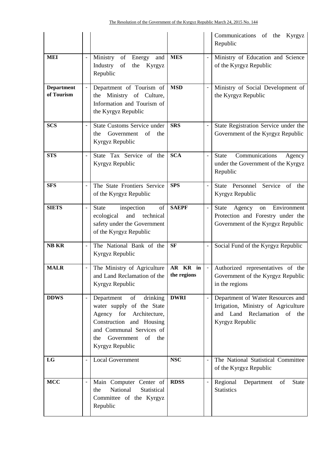|                                 |                          |                                                                                                                                                                                                 |              |                          | Communications of the Kyrgyz<br>Republic                                                                                   |
|---------------------------------|--------------------------|-------------------------------------------------------------------------------------------------------------------------------------------------------------------------------------------------|--------------|--------------------------|----------------------------------------------------------------------------------------------------------------------------|
| <b>MEI</b>                      | $\overline{\phantom{a}}$ | Ministry<br>of Energy<br>and<br>of<br>the Kyrgyz<br>Industry<br>Republic                                                                                                                        | <b>MES</b>   | $\overline{\phantom{a}}$ | Ministry of Education and Science<br>of the Kyrgyz Republic                                                                |
| <b>Department</b><br>of Tourism | $\overline{a}$           | Department of Tourism of<br>the Ministry of Culture,<br>Information and Tourism of<br>the Kyrgyz Republic                                                                                       | <b>MSD</b>   | $\overline{a}$           | Ministry of Social Development of<br>the Kyrgyz Republic                                                                   |
| <b>SCS</b>                      |                          | State Customs Service under<br>Government<br>of<br>the<br>the<br>Kyrgyz Republic                                                                                                                | <b>SRS</b>   |                          | State Registration Service under the<br>Government of the Kyrgyz Republic                                                  |
| <b>STS</b>                      |                          | State Tax Service of the<br>Kyrgyz Republic                                                                                                                                                     | <b>SCA</b>   | $\overline{\phantom{a}}$ | Communications<br><b>State</b><br>Agency<br>under the Government of the Kyrgyz<br>Republic                                 |
| <b>SFS</b>                      | ÷,                       | The State Frontiers Service<br>of the Kyrgyz Republic                                                                                                                                           | <b>SPS</b>   | $\overline{a}$           | Service of the<br>State Personnel<br>Kyrgyz Republic                                                                       |
| <b>SIETS</b>                    |                          | inspection<br>of<br><b>State</b><br>and<br>ecological<br>technical<br>safety under the Government<br>of the Kyrgyz Republic                                                                     | <b>SAEPF</b> | $\frac{1}{2}$            | Environment<br>Agency on<br><b>State</b><br>Protection and Forestry under the<br>Government of the Kyrgyz Republic         |
| <b>NB KR</b>                    | ÷,                       | The National Bank of the<br>Kyrgyz Republic                                                                                                                                                     | <b>SF</b>    | $\overline{a}$           | Social Fund of the Kyrgyz Republic                                                                                         |
| <b>MALR</b>                     |                          | The Ministry of Agriculture<br>and Land Reclamation of the   the regions<br>Kyrgyz Republic                                                                                                     | AR KR in     | $\overline{\phantom{a}}$ | Authorized representatives of the<br>Government of the Kyrgyz Republic<br>in the regions                                   |
| <b>DDWS</b>                     | $\overline{\phantom{0}}$ | drinking<br>Department<br>of<br>water supply of the State<br>Agency for Architecture,<br>Construction and Housing<br>and Communal Services of<br>Government<br>of the<br>the<br>Kyrgyz Republic | <b>DWRI</b>  | $\blacksquare$           | Department of Water Resources and<br>Irrigation, Ministry of Agriculture<br>and Land Reclamation of the<br>Kyrgyz Republic |
| $\mathbf{L}\mathbf{G}$          |                          | <b>Local Government</b>                                                                                                                                                                         | <b>NSC</b>   |                          | The National Statistical Committee<br>of the Kyrgyz Republic                                                               |
| <b>MCC</b>                      |                          | Main Computer Center of<br>National<br>Statistical<br>the<br>Committee of the Kyrgyz<br>Republic                                                                                                | <b>RDSS</b>  |                          | Regional<br>of<br>State<br>Department<br><b>Statistics</b>                                                                 |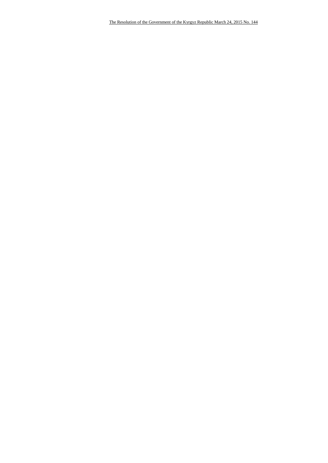The Resolution of the Government of the Kyrgyz Republic March 24, 2015 No. 144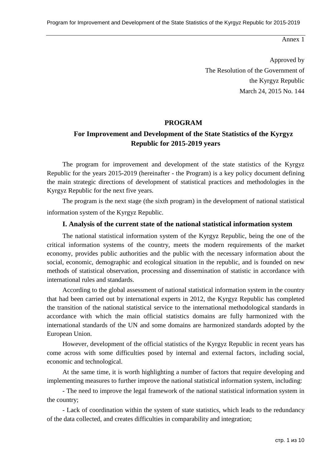Annex 1

Approved by The Resolution of the Government of the Kyrgyz Republic March 24, 2015 No. 144

#### **PROGRAM**

## **For Improvement and Development of the State Statistics of the Kyrgyz Republic for 2015-2019 years**

The program for improvement and development of the state statistics of the Kyrgyz Republic for the years 2015-2019 (hereinafter - the Program) is a key policy document defining the main strategic directions of development of statistical practices and methodologies in the Kyrgyz Republic for the next five years.

The program is the next stage (the sixth program) in the development of national statistical information system of the Kyrgyz Republic.

#### **I. Analysis of the current state of the national statistical information system**

The national statistical information system of the Kyrgyz Republic, being the one of the critical information systems of the country, meets the modern requirements of the market economy, provides public authorities and the public with the necessary information about the social, economic, demographic and ecological situation in the republic, and is founded on new methods of statistical observation, processing and dissemination of statistic in accordance with international rules and standards.

According to the global assessment of national statistical information system in the country that had been carried out by international experts in 2012, the Kyrgyz Republic has completed the transition of the national statistical service to the international methodological standards in accordance with which the main official statistics domains are fully harmonized with the international standards of the UN and some domains are harmonized standards adopted by the European Union.

However, development of the official statistics of the Kyrgyz Republic in recent years has come across with some difficulties posed by internal and external factors, including social, economic and technological.

At the same time, it is worth highlighting a number of factors that require developing and implementing measures to further improve the national statistical information system, including:

- The need to improve the legal framework of the national statistical information system in the country;

- Lack of coordination within the system of state statistics, which leads to the redundancy of the data collected, and creates difficulties in comparability and integration;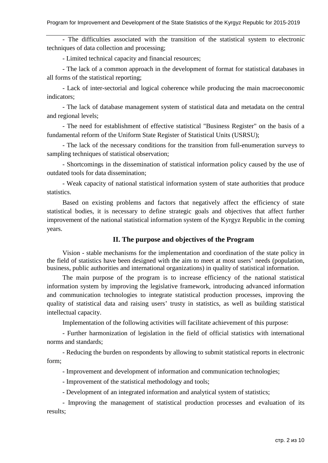- The difficulties associated with the transition of the statistical system to electronic techniques of data collection and processing;

- Limited technical capacity and financial resources;

- The lack of a common approach in the development of format for statistical databases in all forms of the statistical reporting;

- Lack of inter-sectorial and logical coherence while producing the main macroeconomic indicators;

- The lack of database management system of statistical data and metadata on the central and regional levels;

- The need for establishment of effective statistical "Business Register" on the basis of a fundamental reform of the Uniform State Register of Statistical Units (USRSU);

- The lack of the necessary conditions for the transition from full-enumeration surveys to sampling techniques of statistical observation;

- Shortcomings in the dissemination of statistical information policy caused by the use of outdated tools for data dissemination;

- Weak capacity of national statistical information system of state authorities that produce statistics.

Based on existing problems and factors that negatively affect the efficiency of state statistical bodies, it is necessary to define strategic goals and objectives that affect further improvement of the national statistical information system of the Kyrgyz Republic in the coming years.

## **II. The purpose and objectives of the Program**

Vision - stable mechanisms for the implementation and coordination of the state policy in the field of statistics have been designed with the aim to meet at most users' needs (population, business, public authorities and international organizations) in quality of statistical information.

The main purpose of the program is to increase efficiency of the national statistical information system by improving the legislative framework, introducing advanced information and communication technologies to integrate statistical production processes, improving the quality of statistical data and raising users' trusty in statistics, as well as building statistical intellectual capacity.

Implementation of the following activities will facilitate achievement of this purpose:

- Further harmonization of legislation in the field of official statistics with international norms and standards;

- Reducing the burden on respondents by allowing to submit statistical reports in electronic form;

- Improvement and development of information and communication technologies;

- Improvement of the statistical methodology and tools;

- Development of an integrated information and analytical system of statistics;

- Improving the management of statistical production processes and evaluation of its results;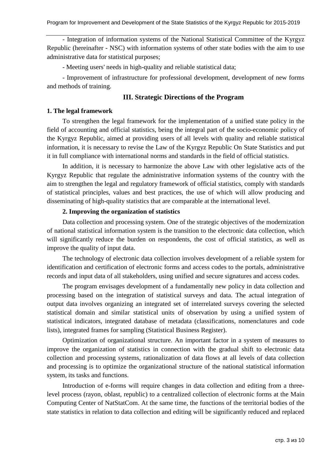- Integration of information systems of the National Statistical Committee of the Kyrgyz Republic (hereinafter - NSC) with information systems of other state bodies with the aim to use administrative data for statistical purposes;

- Meeting users' needs in high-quality and reliable statistical data;

- Improvement of infrastructure for professional development, development of new forms and methods of training.

## **III. Strategic Directions of the Program**

## **1. The legal framework**

To strengthen the legal framework for the implementation of a unified state policy in the field of accounting and official statistics, being the integral part of the socio-economic policy of the Kyrgyz Republic, aimed at providing users of all levels with quality and reliable statistical information, it is necessary to revise the Law of the Kyrgyz Republic On State Statistics and put it in full compliance with international norms and standards in the field of official statistics.

In addition, it is necessary to harmonize the above Law with other legislative acts of the Kyrgyz Republic that regulate the administrative information systems of the country with the aim to strengthen the legal and regulatory framework of official statistics, comply with standards of statistical principles, values and best practices, the use of which will allow producing and disseminating of high-quality statistics that are comparable at the international level.

## **2. Improving the organization of statistics**

Data collection and processing system. One of the strategic objectives of the modernization of national statistical information system is the transition to the electronic data collection, which will significantly reduce the burden on respondents, the cost of official statistics, as well as improve the quality of input data.

The technology of electronic data collection involves development of a reliable system for identification and certification of electronic forms and access codes to the portals, administrative records and input data of all stakeholders, using unified and secure signatures and access codes.

The program envisages development of a fundamentally new policy in data collection and processing based on the integration of statistical surveys and data. The actual integration of output data involves organizing an integrated set of interrelated surveys covering the selected statistical domain and similar statistical units of observation by using a unified system of statistical indicators, integrated database of metadata (classifications, nomenclatures and code lists), integrated frames for sampling (Statistical Business Register).

Optimization of organizational structure. An important factor in a system of measures to improve the organization of statistics in connection with the gradual shift to electronic data collection and processing systems, rationalization of data flows at all levels of data collection and processing is to optimize the organizational structure of the national statistical information system, its tasks and functions.

Introduction of e-forms will require changes in data collection and editing from a threelevel process (rayon, oblast, republic) to a centralized collection of electronic forms at the Main Computing Center of NatStatCom. At the same time, the functions of the territorial bodies of the state statistics in relation to data collection and editing will be significantly reduced and replaced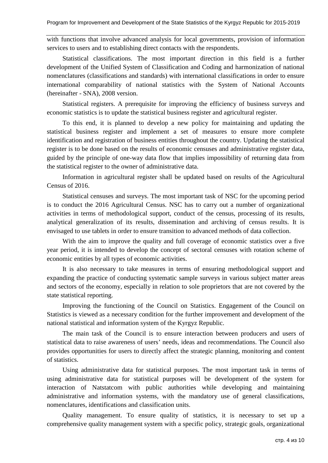with functions that involve advanced analysis for local governments, provision of information services to users and to establishing direct contacts with the respondents.

Statistical classifications. The most important direction in this field is a further development of the Unified System of Classification and Coding and harmonization of national nomenclatures (classifications and standards) with international classifications in order to ensure international comparability of national statistics with the System of National Accounts (hereinafter - SNA), 2008 version.

Statistical registers. A prerequisite for improving the efficiency of business surveys and economic statistics is to update the statistical business register and agricultural register.

To this end, it is planned to develop a new policy for maintaining and updating the statistical business register and implement a set of measures to ensure more complete identification and registration of business entities throughout the country. Updating the statistical register is to be done based on the results of economic censuses and administrative register data, guided by the principle of one-way data flow that implies impossibility of returning data from the statistical register to the owner of administrative data.

Information in agricultural register shall be updated based on results of the Agricultural Census of 2016.

Statistical censuses and surveys. The most important task of NSC for the upcoming period is to conduct the 2016 Agricultural Census. NSC has to carry out a number of organizational activities in terms of methodological support, conduct of the census, processing of its results, analytical generalization of its results, dissemination and archiving of census results. It is envisaged to use tablets in order to ensure transition to advanced methods of data collection.

With the aim to improve the quality and full coverage of economic statistics over a five year period, it is intended to develop the concept of sectoral censuses with rotation scheme of economic entities by all types of economic activities.

It is also necessary to take measures in terms of ensuring methodological support and expanding the practice of conducting systematic sample surveys in various subject matter areas and sectors of the economy, especially in relation to sole proprietors that are not covered by the state statistical reporting.

Improving the functioning of the Council on Statistics. Engagement of the Council on Statistics is viewed as a necessary condition for the further improvement and development of the national statistical and information system of the Kyrgyz Republic.

The main task of the Council is to ensure interaction between producers and users of statistical data to raise awareness of users' needs, ideas and recommendations. The Council also provides opportunities for users to directly affect the strategic planning, monitoring and content of statistics.

Using administrative data for statistical purposes. The most important task in terms of using administrative data for statistical purposes will be development of the system for interaction of Natstatcom with public authorities while developing and maintaining administrative and information systems, with the mandatory use of general classifications, nomenclatures, identifications and classification units.

Quality management. To ensure quality of statistics, it is necessary to set up a comprehensive quality management system with a specific policy, strategic goals, organizational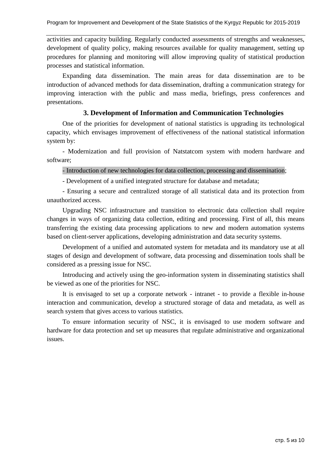activities and capacity building. Regularly conducted assessments of strengths and weaknesses, development of quality policy, making resources available for quality management, setting up procedures for planning and monitoring will allow improving quality of statistical production processes and statistical information.

Expanding data dissemination. The main areas for data dissemination are to be introduction of advanced methods for data dissemination, drafting a communication strategy for improving interaction with the public and mass media, briefings, press conferences and presentations.

#### **3. Development of Information and Communication Technologies**

One of the priorities for development of national statistics is upgrading its technological capacity, which envisages improvement of effectiveness of the national statistical information system by:

- Modernization and full provision of Natstatcom system with modern hardware and software;

- Introduction of new technologies for data collection, processing and dissemination;

- Development of a unified integrated structure for database and metadata;

- Ensuring a secure and centralized storage of all statistical data and its protection from unauthorized access.

Upgrading NSC infrastructure and transition to electronic data collection shall require changes in ways of organizing data collection, editing and processing. First of all, this means transferring the existing data processing applications to new and modern automation systems based on client-server applications, developing administration and data security systems.

Development of a unified and automated system for metadata and its mandatory use at all stages of design and development of software, data processing and dissemination tools shall be considered as a pressing issue for NSC.

Introducing and actively using the geo-information system in disseminating statistics shall be viewed as one of the priorities for NSC.

It is envisaged to set up a corporate network - intranet - to provide a flexible in-house interaction and communication, develop a structured storage of data and metadata, as well as search system that gives access to various statistics.

To ensure information security of NSC, it is envisaged to use modern software and hardware for data protection and set up measures that regulate administrative and organizational issues.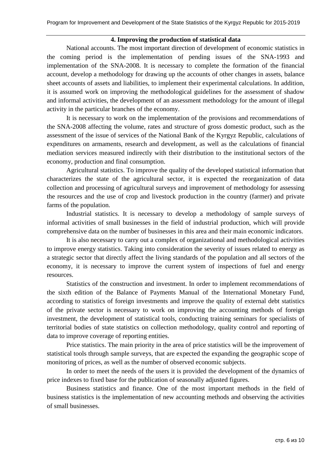#### **4. Improving the production of statistical data**

National accounts. The most important direction of development of economic statistics in the coming period is the implementation of pending issues of the SNA-1993 and implementation of the SNA-2008. It is necessary to complete the formation of the financial account, develop a methodology for drawing up the accounts of other changes in assets, balance sheet accounts of assets and liabilities, to implement their experimental calculations. In addition, it is assumed work on improving the methodological guidelines for the assessment of shadow and informal activities, the development of an assessment methodology for the amount of illegal activity in the particular branches of the economy.

It is necessary to work on the implementation of the provisions and recommendations of the SNA-2008 affecting the volume, rates and structure of gross domestic product, such as the assessment of the issue of services of the National Bank of the Kyrgyz Republic, calculations of expenditures on armaments, research and development, as well as the calculations of financial mediation services measured indirectly with their distribution to the institutional sectors of the economy, production and final consumption.

Agricultural statistics. To improve the quality of the developed statistical information that characterizes the state of the agricultural sector, it is expected the reorganization of data collection and processing of agricultural surveys and improvement of methodology for assessing the resources and the use of crop and livestock production in the country (farmer) and private farms of the population.

Industrial statistics. It is necessary to develop a methodology of sample surveys of informal activities of small businesses in the field of industrial production, which will provide comprehensive data on the number of businesses in this area and their main economic indicators.

It is also necessary to carry out a complex of organizational and methodological activities to improve energy statistics. Taking into consideration the severity of issues related to energy as a strategic sector that directly affect the living standards of the population and all sectors of the economy, it is necessary to improve the current system of inspections of fuel and energy resources.

Statistics of the construction and investment. In order to implement recommendations of the sixth edition of the Balance of Payments Manual of the International Monetary Fund, according to statistics of foreign investments and improve the quality of external debt statistics of the private sector is necessary to work on improving the accounting methods of foreign investment, the development of statistical tools, conducting training seminars for specialists of territorial bodies of state statistics on collection methodology, quality control and reporting of data to improve coverage of reporting entities.

Price statistics. The main priority in the area of price statistics will be the improvement of statistical tools through sample surveys, that are expected the expanding the geographic scope of monitoring of prices, as well as the number of observed economic subjects.

In order to meet the needs of the users it is provided the development of the dynamics of price indexes to fixed base for the publication of seasonally adjusted figures.

Business statistics and finance. One of the most important methods in the field of business statistics is the implementation of new accounting methods and observing the activities of small businesses.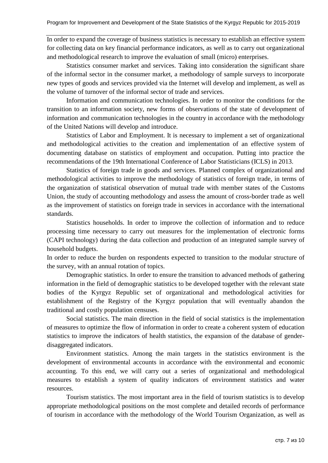In order to expand the coverage of business statistics is necessary to establish an effective system for collecting data on key financial performance indicators, as well as to carry out organizational and methodological research to improve the evaluation of small (micro) enterprises.

Statistics consumer market and services. Taking into consideration the significant share of the informal sector in the consumer market, a methodology of sample surveys to incorporate new types of goods and services provided via the Internet will develop and implement, as well as the volume of turnover of the informal sector of trade and services.

Information and communication technologies. In order to monitor the conditions for the transition to an information society, new forms of observations of the state of development of information and communication technologies in the country in accordance with the methodology of the United Nations will develop and introduce.

Statistics of Labor and Employment. It is necessary to implement a set of organizational and methodological activities to the creation and implementation of an effective system of documenting database on statistics of employment and occupation. Putting into practice the recommendations of the 19th International Conference of Labor Statisticians (ICLS) in 2013.

Statistics of foreign trade in goods and services. Planned complex of organizational and methodological activities to improve the methodology of statistics of foreign trade, in terms of the organization of statistical observation of mutual trade with member states of the Customs Union, the study of accounting methodology and assess the amount of cross-border trade as well as the improvement of statistics on foreign trade in services in accordance with the international standards.

Statistics households. In order to improve the collection of information and to reduce processing time necessary to carry out measures for the implementation of electronic forms (CAPI technology) during the data collection and production of an integrated sample survey of household budgets.

In order to reduce the burden on respondents expected to transition to the modular structure of the survey, with an annual rotation of topics.

Demographic statistics. In order to ensure the transition to advanced methods of gathering information in the field of demographic statistics to be developed together with the relevant state bodies of the Kyrgyz Republic set of organizational and methodological activities for establishment of the Registry of the Kyrgyz population that will eventually abandon the traditional and costly population censuses.

Social statistics. The main direction in the field of social statistics is the implementation of measures to optimize the flow of information in order to create a coherent system of education statistics to improve the indicators of health statistics, the expansion of the database of genderdisaggregated indicators.

Environment statistics. Among the main targets in the statistics environment is the development of environmental accounts in accordance with the environmental and economic accounting. To this end, we will carry out a series of organizational and methodological measures to establish a system of quality indicators of environment statistics and water resources.

Tourism statistics. The most important area in the field of tourism statistics is to develop appropriate methodological positions on the most complete and detailed records of performance of tourism in accordance with the methodology of the World Tourism Organization, as well as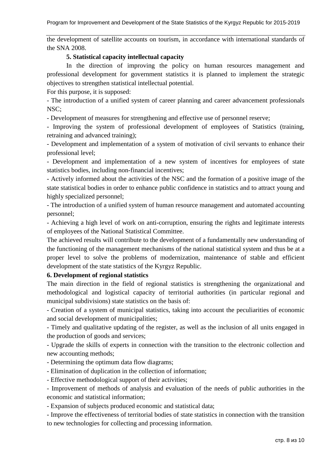the development of satellite accounts on tourism, in accordance with international standards of the SNA 2008.

#### **5. Statistical capacity intellectual capacity**

In the direction of improving the policy on human resources management and professional development for government statistics it is planned to implement the strategic objectives to strengthen statistical intellectual potential.

For this purpose, it is supposed:

- The introduction of a unified system of career planning and career advancement professionals NSC;

- Development of measures for strengthening and effective use of personnel reserve;

- Improving the system of professional development of employees of Statistics (training, retraining and advanced training);

- Development and implementation of a system of motivation of civil servants to enhance their professional level;

- Development and implementation of a new system of incentives for employees of state statistics bodies, including non-financial incentives;

- Actively informed about the activities of the NSC and the formation of a positive image of the state statistical bodies in order to enhance public confidence in statistics and to attract young and highly specialized personnel;

- The introduction of a unified system of human resource management and automated accounting personnel;

- Achieving a high level of work on anti-corruption, ensuring the rights and legitimate interests of employees of the National Statistical Committee.

The achieved results will contribute to the development of a fundamentally new understanding of the functioning of the management mechanisms of the national statistical system and thus be at a proper level to solve the problems of modernization, maintenance of stable and efficient development of the state statistics of the Kyrgyz Republic.

#### **6. Development of regional statistics**

The main direction in the field of regional statistics is strengthening the organizational and methodological and logistical capacity of territorial authorities (in particular regional and municipal subdivisions) state statistics on the basis of:

- Creation of a system of municipal statistics, taking into account the peculiarities of economic and social development of municipalities;

- Timely and qualitative updating of the register, as well as the inclusion of all units engaged in the production of goods and services;

- Upgrade the skills of experts in connection with the transition to the electronic collection and new accounting methods;

- Determining the optimum data flow diagrams;
- Elimination of duplication in the collection of information;

- Effective methodological support of their activities;

- Improvement of methods of analysis and evaluation of the needs of public authorities in the economic and statistical information;

- Expansion of subjects produced economic and statistical data;

- Improve the effectiveness of territorial bodies of state statistics in connection with the transition to new technologies for collecting and processing information.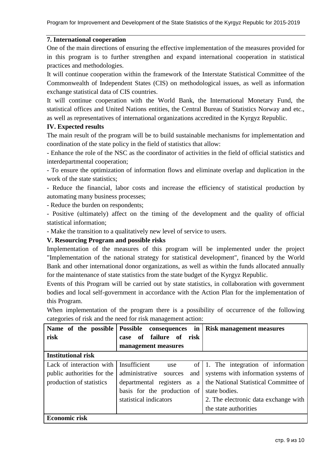## **7. International cooperation**

One of the main directions of ensuring the effective implementation of the measures provided for in this program is to further strengthen and expand international cooperation in statistical practices and methodologies.

It will continue cooperation within the framework of the Interstate Statistical Committee of the Commonwealth of Independent States (CIS) on methodological issues, as well as information exchange statistical data of CIS countries.

It will continue cooperation with the World Bank, the International Monetary Fund, the statistical offices and United Nations entities, the Central Bureau of Statistics Norway and etc., as well as representatives of international organizations accredited in the Kyrgyz Republic.

#### **IV. Expected results**

The main result of the program will be to build sustainable mechanisms for implementation and coordination of the state policy in the field of statistics that allow:

- Enhance the role of the NSC as the coordinator of activities in the field of official statistics and interdepartmental cooperation;

- To ensure the optimization of information flows and eliminate overlap and duplication in the work of the state statistics:

- Reduce the financial, labor costs and increase the efficiency of statistical production by automating many business processes;

- Reduce the burden on respondents;

- Positive (ultimately) affect on the timing of the development and the quality of official statistical information;

- Make the transition to a qualitatively new level of service to users.

## **V. Resourcing Program and possible risks**

Implementation of the measures of this program will be implemented under the project "Implementation of the national strategy for statistical development", financed by the World Bank and other international donor organizations, as well as within the funds allocated annually for the maintenance of state statistics from the state budget of the Kyrgyz Republic.

Events of this Program will be carried out by state statistics, in collaboration with government bodies and local self-government in accordance with the Action Plan for the implementation of this Program.

When implementation of the program there is a possibility of occurrence of the following categories of risk and the need for risk management action:

| Name of the possible       | Possible<br>in<br>consequences   | <b>Risk management measures</b>              |  |  |  |  |  |
|----------------------------|----------------------------------|----------------------------------------------|--|--|--|--|--|
| risk                       | of failure of risk<br>case       |                                              |  |  |  |  |  |
|                            | management measures              |                                              |  |  |  |  |  |
| <b>Institutional risk</b>  |                                  |                                              |  |  |  |  |  |
| Lack of interaction with   | Insufficient<br>use              | of $\vert$ 1. The integration of information |  |  |  |  |  |
| public authorities for the | administrative<br>and<br>sources | systems with information systems of          |  |  |  |  |  |
| production of statistics   | departmental registers as a      | the National Statistical Committee of        |  |  |  |  |  |
|                            | basis for the production of      | state bodies.                                |  |  |  |  |  |
|                            | statistical indicators           | 2. The electronic data exchange with         |  |  |  |  |  |
|                            |                                  | the state authorities                        |  |  |  |  |  |
| Economic risk              |                                  |                                              |  |  |  |  |  |